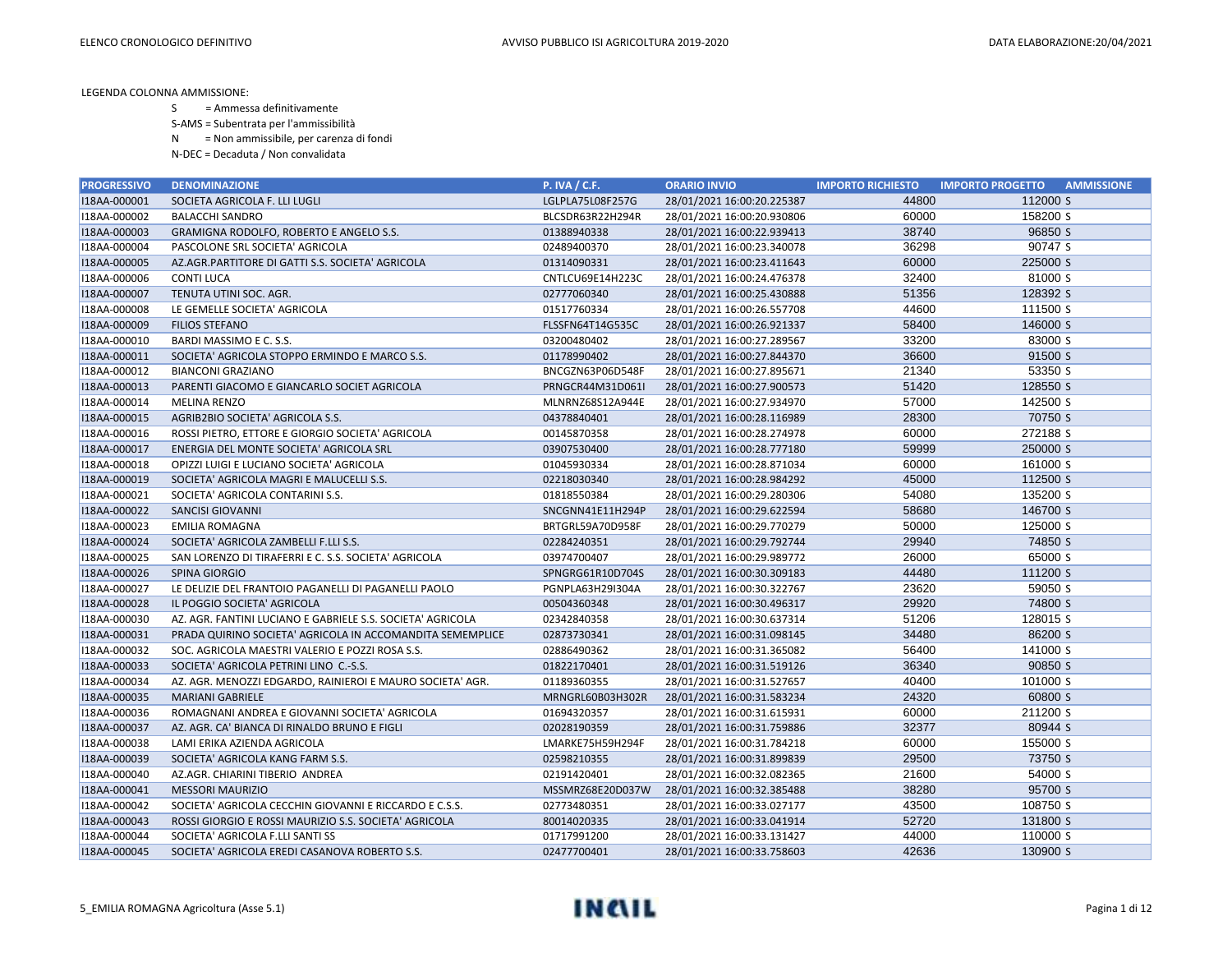- S = Ammessa definitivamente
- S-AMS = Subentrata per l'ammissibilità
- N = Non ammissibile, per carenza di fondi
- N-DEC = Decaduta / Non convalidata

| <b>PROGRESSIVO</b> | <b>DENOMINAZIONE</b>                                       | <b>P. IVA / C.F.</b> | <b>ORARIO INVIO</b>        | <b>IMPORTO RICHIESTO</b> | <b>AMMISSIONE</b><br><b>IMPORTO PROGETTO</b> |
|--------------------|------------------------------------------------------------|----------------------|----------------------------|--------------------------|----------------------------------------------|
| I18AA-000001       | SOCIETA AGRICOLA F. LLI LUGLI                              | LGLPLA75L08F257G     | 28/01/2021 16:00:20.225387 | 44800                    | 112000 S                                     |
| I18AA-000002       | <b>BALACCHI SANDRO</b>                                     | BLCSDR63R22H294R     | 28/01/2021 16:00:20.930806 | 60000                    | 158200 S                                     |
| I18AA-000003       | GRAMIGNA RODOLFO, ROBERTO E ANGELO S.S.                    | 01388940338          | 28/01/2021 16:00:22.939413 | 38740                    | 96850 S                                      |
| I18AA-000004       | PASCOLONE SRL SOCIETA' AGRICOLA                            | 02489400370          | 28/01/2021 16:00:23.340078 | 36298                    | 90747 S                                      |
| I18AA-000005       | AZ.AGR.PARTITORE DI GATTI S.S. SOCIETA' AGRICOLA           | 01314090331          | 28/01/2021 16:00:23.411643 | 60000                    | 225000 S                                     |
| I18AA-000006       | <b>CONTI LUCA</b>                                          | CNTLCU69E14H223C     | 28/01/2021 16:00:24.476378 | 32400                    | 81000 S                                      |
| I18AA-000007       | TENUTA UTINI SOC. AGR.                                     | 02777060340          | 28/01/2021 16:00:25.430888 | 51356                    | 128392 S                                     |
| I18AA-000008       | LE GEMELLE SOCIETA' AGRICOLA                               | 01517760334          | 28/01/2021 16:00:26.557708 | 44600                    | 111500 S                                     |
| I18AA-000009       | <b>FILIOS STEFANO</b>                                      | FLSSFN64T14G535C     | 28/01/2021 16:00:26.921337 | 58400                    | 146000 S                                     |
| I18AA-000010       | BARDI MASSIMO E C. S.S.                                    | 03200480402          | 28/01/2021 16:00:27.289567 | 33200                    | 83000 S                                      |
| I18AA-000011       | SOCIETA' AGRICOLA STOPPO ERMINDO E MARCO S.S.              | 01178990402          | 28/01/2021 16:00:27.844370 | 36600                    | 91500 S                                      |
| I18AA-000012       | <b>BIANCONI GRAZIANO</b>                                   | BNCGZN63P06D548F     | 28/01/2021 16:00:27.895671 | 21340                    | 53350 S                                      |
| I18AA-000013       | PARENTI GIACOMO E GIANCARLO SOCIET AGRICOLA                | PRNGCR44M31D061I     | 28/01/2021 16:00:27.900573 | 51420                    | 128550 S                                     |
| I18AA-000014       | <b>MELINA RENZO</b>                                        | MLNRNZ68S12A944E     | 28/01/2021 16:00:27.934970 | 57000                    | 142500 S                                     |
| I18AA-000015       | AGRIB2BIO SOCIETA' AGRICOLA S.S.                           | 04378840401          | 28/01/2021 16:00:28.116989 | 28300                    | 70750 S                                      |
| I18AA-000016       | ROSSI PIETRO, ETTORE E GIORGIO SOCIETA' AGRICOLA           | 00145870358          | 28/01/2021 16:00:28.274978 | 60000                    | 272188 S                                     |
| I18AA-000017       | ENERGIA DEL MONTE SOCIETA' AGRICOLA SRL                    | 03907530400          | 28/01/2021 16:00:28.777180 | 59999                    | 250000 S                                     |
| I18AA-000018       | OPIZZI LUIGI E LUCIANO SOCIETA' AGRICOLA                   | 01045930334          | 28/01/2021 16:00:28.871034 | 60000                    | 161000 S                                     |
| I18AA-000019       | SOCIETA' AGRICOLA MAGRI E MALUCELLI S.S.                   | 02218030340          | 28/01/2021 16:00:28.984292 | 45000                    | 112500 S                                     |
| I18AA-000021       | SOCIETA' AGRICOLA CONTARINI S.S.                           | 01818550384          | 28/01/2021 16:00:29.280306 | 54080                    | 135200 S                                     |
| I18AA-000022       | <b>SANCISI GIOVANNI</b>                                    | SNCGNN41E11H294P     | 28/01/2021 16:00:29.622594 | 58680                    | 146700 S                                     |
| I18AA-000023       | <b>EMILIA ROMAGNA</b>                                      | BRTGRL59A70D958F     | 28/01/2021 16:00:29.770279 | 50000                    | 125000 S                                     |
| I18AA-000024       | SOCIETA' AGRICOLA ZAMBELLI F.LLI S.S.                      | 02284240351          | 28/01/2021 16:00:29.792744 | 29940                    | 74850 S                                      |
| I18AA-000025       | SAN LORENZO DI TIRAFERRI E C. S.S. SOCIETA' AGRICOLA       | 03974700407          | 28/01/2021 16:00:29.989772 | 26000                    | 65000 S                                      |
| I18AA-000026       | SPINA GIORGIO                                              | SPNGRG61R10D704S     | 28/01/2021 16:00:30.309183 | 44480                    | 111200 S                                     |
| I18AA-000027       | LE DELIZIE DEL FRANTOIO PAGANELLI DI PAGANELLI PAOLO       | PGNPLA63H29I304A     | 28/01/2021 16:00:30.322767 | 23620                    | 59050 S                                      |
| I18AA-000028       | IL POGGIO SOCIETA' AGRICOLA                                | 00504360348          | 28/01/2021 16:00:30.496317 | 29920                    | 74800 S                                      |
| I18AA-000030       | AZ. AGR. FANTINI LUCIANO E GABRIELE S.S. SOCIETA' AGRICOLA | 02342840358          | 28/01/2021 16:00:30.637314 | 51206                    | 128015 S                                     |
| I18AA-000031       | PRADA QUIRINO SOCIETA' AGRICOLA IN ACCOMANDITA SEMEMPLICE  | 02873730341          | 28/01/2021 16:00:31.098145 | 34480                    | 86200 S                                      |
| I18AA-000032       | SOC. AGRICOLA MAESTRI VALERIO E POZZI ROSA S.S.            | 02886490362          | 28/01/2021 16:00:31.365082 | 56400                    | 141000 S                                     |
| I18AA-000033       | SOCIETA' AGRICOLA PETRINI LINO C .- S.S.                   | 01822170401          | 28/01/2021 16:00:31.519126 | 36340                    | 90850 S                                      |
| I18AA-000034       | AZ. AGR. MENOZZI EDGARDO, RAINIEROI E MAURO SOCIETA' AGR.  | 01189360355          | 28/01/2021 16:00:31.527657 | 40400                    | 101000 S                                     |
| I18AA-000035       | <b>MARIANI GABRIELE</b>                                    | MRNGRL60B03H302R     | 28/01/2021 16:00:31.583234 | 24320                    | 60800 S                                      |
| I18AA-000036       | ROMAGNANI ANDREA E GIOVANNI SOCIETA' AGRICOLA              | 01694320357          | 28/01/2021 16:00:31.615931 | 60000                    | 211200 S                                     |
| I18AA-000037       | AZ. AGR. CA' BIANCA DI RINALDO BRUNO E FIGLI               | 02028190359          | 28/01/2021 16:00:31.759886 | 32377                    | 80944 S                                      |
| I18AA-000038       | LAMI ERIKA AZIENDA AGRICOLA                                | LMARKE75H59H294F     | 28/01/2021 16:00:31.784218 | 60000                    | 155000 S                                     |
| I18AA-000039       | SOCIETA' AGRICOLA KANG FARM S.S.                           | 02598210355          | 28/01/2021 16:00:31.899839 | 29500                    | 73750 S                                      |
| I18AA-000040       | AZ.AGR. CHIARINI TIBERIO ANDREA                            | 02191420401          | 28/01/2021 16:00:32.082365 | 21600                    | 54000 S                                      |
| I18AA-000041       | <b>MESSORI MAURIZIO</b>                                    | MSSMRZ68E20D037W     | 28/01/2021 16:00:32.385488 | 38280                    | 95700 S                                      |
| I18AA-000042       | SOCIETA' AGRICOLA CECCHIN GIOVANNI E RICCARDO E C.S.S.     | 02773480351          | 28/01/2021 16:00:33.027177 | 43500                    | 108750 S                                     |
| I18AA-000043       | ROSSI GIORGIO E ROSSI MAURIZIO S.S. SOCIETA' AGRICOLA      | 80014020335          | 28/01/2021 16:00:33.041914 | 52720                    | 131800 S                                     |
| I18AA-000044       | SOCIETA' AGRICOLA F.LLI SANTI SS                           | 01717991200          | 28/01/2021 16:00:33.131427 | 44000                    | 110000 S                                     |
| I18AA-000045       | SOCIETA' AGRICOLA EREDI CASANOVA ROBERTO S.S.              | 02477700401          | 28/01/2021 16:00:33.758603 | 42636                    | 130900 S                                     |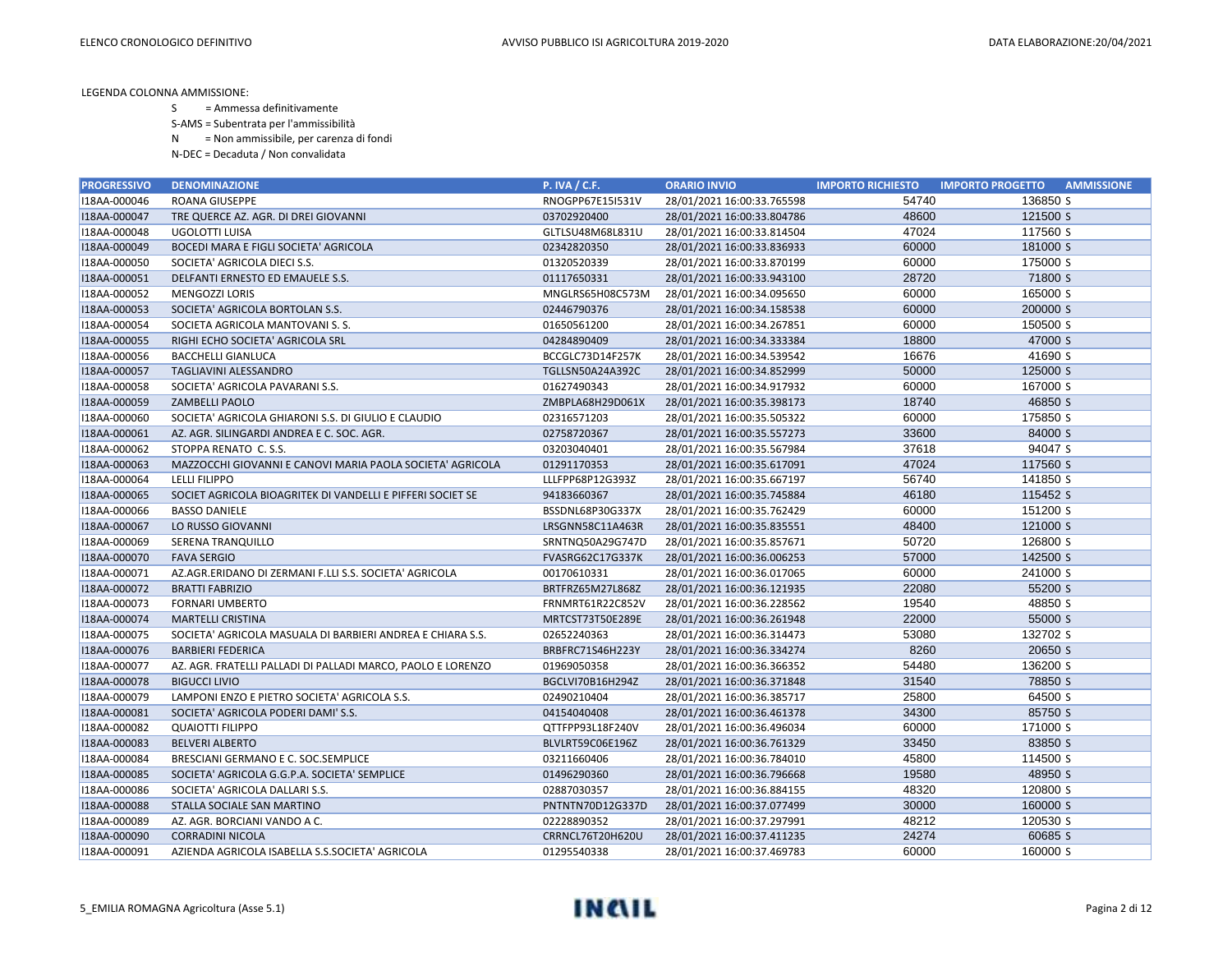- S = Ammessa definitivamente
- S-AMS = Subentrata per l'ammissibilità
- N = Non ammissibile, per carenza di fondi
- N-DEC = Decaduta / Non convalidata

| <b>PROGRESSIVO</b> | <b>DENOMINAZIONE</b>                                        | <b>P. IVA / C.F.</b> | <b>ORARIO INVIO</b>        | <b>IMPORTO RICHIESTO</b> | <b>AMMISSIONE</b><br><b>IMPORTO PROGETTO</b> |
|--------------------|-------------------------------------------------------------|----------------------|----------------------------|--------------------------|----------------------------------------------|
| I18AA-000046       | <b>ROANA GIUSEPPE</b>                                       | RNOGPP67E15I531V     | 28/01/2021 16:00:33.765598 | 54740                    | 136850 S                                     |
| I18AA-000047       | TRE QUERCE AZ. AGR. DI DREI GIOVANNI                        | 03702920400          | 28/01/2021 16:00:33.804786 | 48600                    | 121500 S                                     |
| I18AA-000048       | UGOLOTTI LUISA                                              | GLTLSU48M68L831U     | 28/01/2021 16:00:33.814504 | 47024                    | 117560 S                                     |
| I18AA-000049       | <b>BOCEDI MARA E FIGLI SOCIETA' AGRICOLA</b>                | 02342820350          | 28/01/2021 16:00:33.836933 | 60000                    | 181000 S                                     |
| I18AA-000050       | SOCIETA' AGRICOLA DIECI S.S.                                | 01320520339          | 28/01/2021 16:00:33.870199 | 60000                    | 175000 S                                     |
| I18AA-000051       | DELFANTI ERNESTO ED EMAUELE S.S.                            | 01117650331          | 28/01/2021 16:00:33.943100 | 28720                    | 71800 S                                      |
| I18AA-000052       | <b>MENGOZZI LORIS</b>                                       | MNGLRS65H08C573M     | 28/01/2021 16:00:34.095650 | 60000                    | 165000 S                                     |
| I18AA-000053       | SOCIETA' AGRICOLA BORTOLAN S.S.                             | 02446790376          | 28/01/2021 16:00:34.158538 | 60000                    | 200000 S                                     |
| I18AA-000054       | SOCIETA AGRICOLA MANTOVANI S. S.                            | 01650561200          | 28/01/2021 16:00:34.267851 | 60000                    | 150500 S                                     |
| I18AA-000055       | RIGHI ECHO SOCIETA' AGRICOLA SRL                            | 04284890409          | 28/01/2021 16:00:34.333384 | 18800                    | 47000 S                                      |
| I18AA-000056       | <b>BACCHELLI GIANLUCA</b>                                   | BCCGLC73D14F257K     | 28/01/2021 16:00:34.539542 | 16676                    | 41690 S                                      |
| I18AA-000057       | TAGLIAVINI ALESSANDRO                                       | TGLLSN50A24A392C     | 28/01/2021 16:00:34.852999 | 50000                    | 125000 S                                     |
| I18AA-000058       | SOCIETA' AGRICOLA PAVARANI S.S.                             | 01627490343          | 28/01/2021 16:00:34.917932 | 60000                    | 167000 S                                     |
| I18AA-000059       | <b>ZAMBELLI PAOLO</b>                                       | ZMBPLA68H29D061X     | 28/01/2021 16:00:35.398173 | 18740                    | 46850 S                                      |
| I18AA-000060       | SOCIETA' AGRICOLA GHIARONI S.S. DI GIULIO E CLAUDIO         | 02316571203          | 28/01/2021 16:00:35.505322 | 60000                    | 175850 S                                     |
| I18AA-000061       | AZ. AGR. SILINGARDI ANDREA E C. SOC. AGR.                   | 02758720367          | 28/01/2021 16:00:35.557273 | 33600                    | 84000 S                                      |
| I18AA-000062       | STOPPA RENATO C. S.S.                                       | 03203040401          | 28/01/2021 16:00:35.567984 | 37618                    | 94047 S                                      |
| I18AA-000063       | MAZZOCCHI GIOVANNI E CANOVI MARIA PAOLA SOCIETA' AGRICOLA   | 01291170353          | 28/01/2021 16:00:35.617091 | 47024                    | 117560 S                                     |
| I18AA-000064       | LELLI FILIPPO                                               | LLLFPP68P12G393Z     | 28/01/2021 16:00:35.667197 | 56740                    | 141850 S                                     |
| I18AA-000065       | SOCIET AGRICOLA BIOAGRITEK DI VANDELLI E PIFFERI SOCIET SE  | 94183660367          | 28/01/2021 16:00:35.745884 | 46180                    | 115452 S                                     |
| I18AA-000066       | <b>BASSO DANIELE</b>                                        | BSSDNL68P30G337X     | 28/01/2021 16:00:35.762429 | 60000                    | 151200 S                                     |
| I18AA-000067       | LO RUSSO GIOVANNI                                           | LRSGNN58C11A463R     | 28/01/2021 16:00:35.835551 | 48400                    | 121000 S                                     |
| I18AA-000069       | <b>SERENA TRANQUILLO</b>                                    | SRNTNQ50A29G747D     | 28/01/2021 16:00:35.857671 | 50720                    | 126800 S                                     |
| I18AA-000070       | <b>FAVA SERGIO</b>                                          | FVASRG62C17G337K     | 28/01/2021 16:00:36.006253 | 57000                    | 142500 S                                     |
| I18AA-000071       | AZ.AGR.ERIDANO DI ZERMANI F.LLI S.S. SOCIETA' AGRICOLA      | 00170610331          | 28/01/2021 16:00:36.017065 | 60000                    | 241000 S                                     |
| I18AA-000072       | <b>BRATTI FABRIZIO</b>                                      | BRTFRZ65M27L868Z     | 28/01/2021 16:00:36.121935 | 22080                    | 55200 S                                      |
| I18AA-000073       | <b>FORNARI UMBERTO</b>                                      | FRNMRT61R22C852V     | 28/01/2021 16:00:36.228562 | 19540                    | 48850 S                                      |
| I18AA-000074       | <b>MARTELLI CRISTINA</b>                                    | MRTCST73T50E289E     | 28/01/2021 16:00:36.261948 | 22000                    | 55000 S                                      |
| I18AA-000075       | SOCIETA' AGRICOLA MASUALA DI BARBIERI ANDREA E CHIARA S.S.  | 02652240363          | 28/01/2021 16:00:36.314473 | 53080                    | 132702 S                                     |
| I18AA-000076       | <b>BARBIERI FEDERICA</b>                                    | BRBFRC71S46H223Y     | 28/01/2021 16:00:36.334274 | 8260                     | 20650 S                                      |
| I18AA-000077       | AZ. AGR. FRATELLI PALLADI DI PALLADI MARCO, PAOLO E LORENZO | 01969050358          | 28/01/2021 16:00:36.366352 | 54480                    | 136200 S                                     |
| I18AA-000078       | <b>BIGUCCI LIVIO</b>                                        | BGCLVI70B16H294Z     | 28/01/2021 16:00:36.371848 | 31540                    | 78850 S                                      |
| I18AA-000079       | LAMPONI ENZO E PIETRO SOCIETA' AGRICOLA S.S.                | 02490210404          | 28/01/2021 16:00:36.385717 | 25800                    | 64500 S                                      |
| I18AA-000081       | SOCIETA' AGRICOLA PODERI DAMI' S.S.                         | 04154040408          | 28/01/2021 16:00:36.461378 | 34300                    | 85750 S                                      |
| I18AA-000082       | <b>QUAIOTTI FILIPPO</b>                                     | QTTFPP93L18F240V     | 28/01/2021 16:00:36.496034 | 60000                    | 171000 S                                     |
| I18AA-000083       | <b>BELVERI ALBERTO</b>                                      | BLVLRT59C06E196Z     | 28/01/2021 16:00:36.761329 | 33450                    | 83850 S                                      |
| I18AA-000084       | BRESCIANI GERMANO E C. SOC.SEMPLICE                         | 03211660406          | 28/01/2021 16:00:36.784010 | 45800                    | 114500 S                                     |
| I18AA-000085       | SOCIETA' AGRICOLA G.G.P.A. SOCIETA' SEMPLICE                | 01496290360          | 28/01/2021 16:00:36.796668 | 19580                    | 48950 S                                      |
| I18AA-000086       | SOCIETA' AGRICOLA DALLARI S.S.                              | 02887030357          | 28/01/2021 16:00:36.884155 | 48320                    | 120800 S                                     |
| I18AA-000088       | STALLA SOCIALE SAN MARTINO                                  | PNTNTN70D12G337D     | 28/01/2021 16:00:37.077499 | 30000                    | 160000 S                                     |
| I18AA-000089       | AZ. AGR. BORCIANI VANDO A C.                                | 02228890352          | 28/01/2021 16:00:37.297991 | 48212                    | 120530 S                                     |
| I18AA-000090       | <b>CORRADINI NICOLA</b>                                     | CRRNCL76T20H620U     | 28/01/2021 16:00:37.411235 | 24274                    | 60685 S                                      |
| I18AA-000091       | AZIENDA AGRICOLA ISABELLA S.S.SOCIETA' AGRICOLA             | 01295540338          | 28/01/2021 16:00:37.469783 | 60000                    | 160000 S                                     |

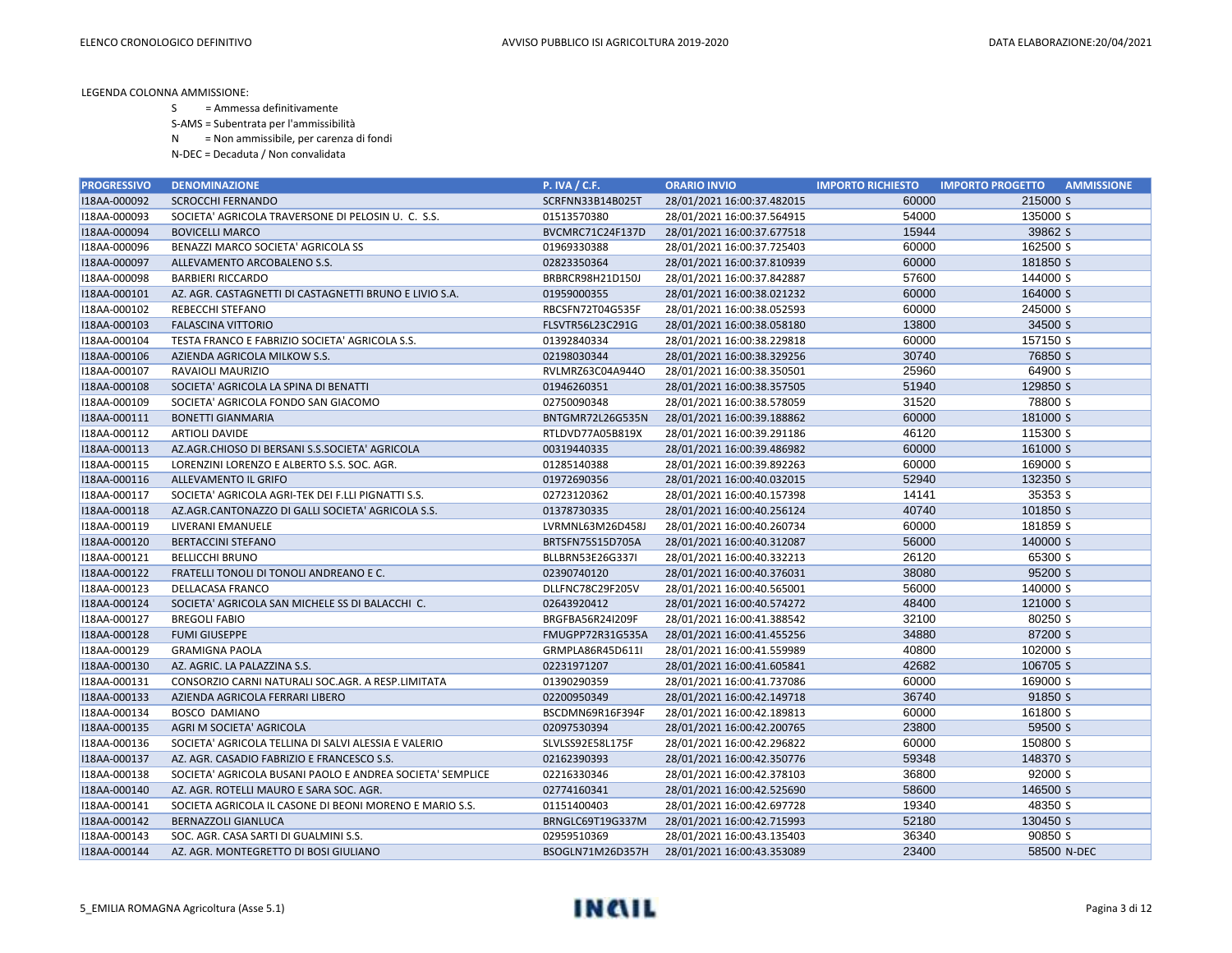S = Ammessa definitivamente

S-AMS = Subentrata per l'ammissibilità

N = Non ammissibile, per carenza di fondi

| <b>PROGRESSIVO</b> | <b>DENOMINAZIONE</b>                                      | <b>P. IVA / C.F.</b> | <b>ORARIO INVIO</b>        | <b>IMPORTO RICHIESTO</b> | <b>IMPORTO PROGETTO</b><br><b>AMMISSIONE</b> |
|--------------------|-----------------------------------------------------------|----------------------|----------------------------|--------------------------|----------------------------------------------|
| I18AA-000092       | <b>SCROCCHI FERNANDO</b>                                  | SCRFNN33B14B025T     | 28/01/2021 16:00:37.482015 | 60000                    | 215000 S                                     |
| I18AA-000093       | SOCIETA' AGRICOLA TRAVERSONE DI PELOSIN U. C. S.S.        | 01513570380          | 28/01/2021 16:00:37.564915 | 54000                    | 135000 S                                     |
| I18AA-000094       | <b>BOVICELLI MARCO</b>                                    | BVCMRC71C24F137D     | 28/01/2021 16:00:37.677518 | 15944                    | 39862 S                                      |
| I18AA-000096       | BENAZZI MARCO SOCIETA' AGRICOLA SS                        | 01969330388          | 28/01/2021 16:00:37.725403 | 60000                    | 162500 S                                     |
| I18AA-000097       | ALLEVAMENTO ARCOBALENO S.S.                               | 02823350364          | 28/01/2021 16:00:37.810939 | 60000                    | 181850 S                                     |
| I18AA-000098       | <b>BARBIERI RICCARDO</b>                                  | BRBRCR98H21D150J     | 28/01/2021 16:00:37.842887 | 57600                    | 144000 S                                     |
| I18AA-000101       | AZ. AGR. CASTAGNETTI DI CASTAGNETTI BRUNO E LIVIO S.A.    | 01959000355          | 28/01/2021 16:00:38.021232 | 60000                    | 164000 S                                     |
| I18AA-000102       | REBECCHI STEFANO                                          | RBCSFN72T04G535F     | 28/01/2021 16:00:38.052593 | 60000                    | 245000 S                                     |
| I18AA-000103       | <b>FALASCINA VITTORIO</b>                                 | FLSVTR56L23C291G     | 28/01/2021 16:00:38.058180 | 13800                    | 34500 S                                      |
| I18AA-000104       | TESTA FRANCO E FABRIZIO SOCIETA' AGRICOLA S.S.            | 01392840334          | 28/01/2021 16:00:38.229818 | 60000                    | 157150 S                                     |
| I18AA-000106       | AZIENDA AGRICOLA MILKOW S.S.                              | 02198030344          | 28/01/2021 16:00:38.329256 | 30740                    | 76850 S                                      |
| I18AA-000107       | RAVAIOLI MAURIZIO                                         | RVLMRZ63C04A944O     | 28/01/2021 16:00:38.350501 | 25960                    | 64900 S                                      |
| I18AA-000108       | SOCIETA' AGRICOLA LA SPINA DI BENATTI                     | 01946260351          | 28/01/2021 16:00:38.357505 | 51940                    | 129850 S                                     |
| I18AA-000109       | SOCIETA' AGRICOLA FONDO SAN GIACOMO                       | 02750090348          | 28/01/2021 16:00:38.578059 | 31520                    | 78800 S                                      |
| I18AA-000111       | <b>BONETTI GIANMARIA</b>                                  | BNTGMR72L26G535N     | 28/01/2021 16:00:39.188862 | 60000                    | 181000 S                                     |
| I18AA-000112       | <b>ARTIOLI DAVIDE</b>                                     | RTLDVD77A05B819X     | 28/01/2021 16:00:39.291186 | 46120                    | 115300 S                                     |
| I18AA-000113       | AZ.AGR.CHIOSO DI BERSANI S.S.SOCIETA' AGRICOLA            | 00319440335          | 28/01/2021 16:00:39.486982 | 60000                    | 161000 S                                     |
| I18AA-000115       | LORENZINI LORENZO E ALBERTO S.S. SOC. AGR.                | 01285140388          | 28/01/2021 16:00:39.892263 | 60000                    | 169000 S                                     |
| I18AA-000116       | ALLEVAMENTO IL GRIFO                                      | 01972690356          | 28/01/2021 16:00:40.032015 | 52940                    | 132350 S                                     |
| I18AA-000117       | SOCIETA' AGRICOLA AGRI-TEK DEI F.LLI PIGNATTI S.S.        | 02723120362          | 28/01/2021 16:00:40.157398 | 14141                    | 35353 S                                      |
| I18AA-000118       | AZ.AGR.CANTONAZZO DI GALLI SOCIETA' AGRICOLA S.S.         | 01378730335          | 28/01/2021 16:00:40.256124 | 40740                    | 101850 S                                     |
| I18AA-000119       | LIVERANI EMANUELE                                         | LVRMNL63M26D458J     | 28/01/2021 16:00:40.260734 | 60000                    | 181859 S                                     |
| I18AA-000120       | <b>BERTACCINI STEFANO</b>                                 | BRTSFN75S15D705A     | 28/01/2021 16:00:40.312087 | 56000                    | 140000 S                                     |
| I18AA-000121       | <b>BELLICCHI BRUNO</b>                                    | BLLBRN53E26G337I     | 28/01/2021 16:00:40.332213 | 26120                    | 65300 S                                      |
| I18AA-000122       | FRATELLI TONOLI DI TONOLI ANDREANO E C.                   | 02390740120          | 28/01/2021 16:00:40.376031 | 38080                    | 95200 S                                      |
| I18AA-000123       | DELLACASA FRANCO                                          | DLLFNC78C29F205V     | 28/01/2021 16:00:40.565001 | 56000                    | 140000 S                                     |
| I18AA-000124       | SOCIETA' AGRICOLA SAN MICHELE SS DI BALACCHI C.           | 02643920412          | 28/01/2021 16:00:40.574272 | 48400                    | 121000 S                                     |
| I18AA-000127       | <b>BREGOLI FABIO</b>                                      | BRGFBA56R24I209F     | 28/01/2021 16:00:41.388542 | 32100                    | 80250 S                                      |
| I18AA-000128       | <b>FUMI GIUSEPPE</b>                                      | FMUGPP72R31G535A     | 28/01/2021 16:00:41.455256 | 34880                    | 87200 S                                      |
| I18AA-000129       | <b>GRAMIGNA PAOLA</b>                                     | GRMPLA86R45D611I     | 28/01/2021 16:00:41.559989 | 40800                    | 102000 S                                     |
| I18AA-000130       | AZ. AGRIC. LA PALAZZINA S.S.                              | 02231971207          | 28/01/2021 16:00:41.605841 | 42682                    | 106705 S                                     |
| I18AA-000131       | CONSORZIO CARNI NATURALI SOC.AGR. A RESP.LIMITATA         | 01390290359          | 28/01/2021 16:00:41.737086 | 60000                    | 169000 S                                     |
| I18AA-000133       | AZIENDA AGRICOLA FERRARI LIBERO                           | 02200950349          | 28/01/2021 16:00:42.149718 | 36740                    | 91850 S                                      |
| I18AA-000134       | <b>BOSCO DAMIANO</b>                                      | BSCDMN69R16F394F     | 28/01/2021 16:00:42.189813 | 60000                    | 161800 S                                     |
| I18AA-000135       | AGRI M SOCIETA' AGRICOLA                                  | 02097530394          | 28/01/2021 16:00:42.200765 | 23800                    | 59500 S                                      |
| I18AA-000136       | SOCIETA' AGRICOLA TELLINA DI SALVI ALESSIA E VALERIO      | SLVLSS92E58L175F     | 28/01/2021 16:00:42.296822 | 60000                    | 150800 S                                     |
| I18AA-000137       | AZ. AGR. CASADIO FABRIZIO E FRANCESCO S.S.                | 02162390393          | 28/01/2021 16:00:42.350776 | 59348                    | 148370 S                                     |
| I18AA-000138       | SOCIETA' AGRICOLA BUSANI PAOLO E ANDREA SOCIETA' SEMPLICE | 02216330346          | 28/01/2021 16:00:42.378103 | 36800                    | 92000 S                                      |
| I18AA-000140       | AZ. AGR. ROTELLI MAURO E SARA SOC. AGR.                   | 02774160341          | 28/01/2021 16:00:42.525690 | 58600                    | 146500 S                                     |
| I18AA-000141       | SOCIETA AGRICOLA IL CASONE DI BEONI MORENO E MARIO S.S.   | 01151400403          | 28/01/2021 16:00:42.697728 | 19340                    | 48350 S                                      |
| I18AA-000142       | <b>BERNAZZOLI GIANLUCA</b>                                | BRNGLC69T19G337M     | 28/01/2021 16:00:42.715993 | 52180                    | 130450 S                                     |
| I18AA-000143       | SOC. AGR. CASA SARTI DI GUALMINI S.S.                     | 02959510369          | 28/01/2021 16:00:43.135403 | 36340                    | 90850 S                                      |
| I18AA-000144       | AZ. AGR. MONTEGRETTO DI BOSI GIULIANO                     | BSOGLN71M26D357H     | 28/01/2021 16:00:43.353089 | 23400                    | 58500 N-DEC                                  |

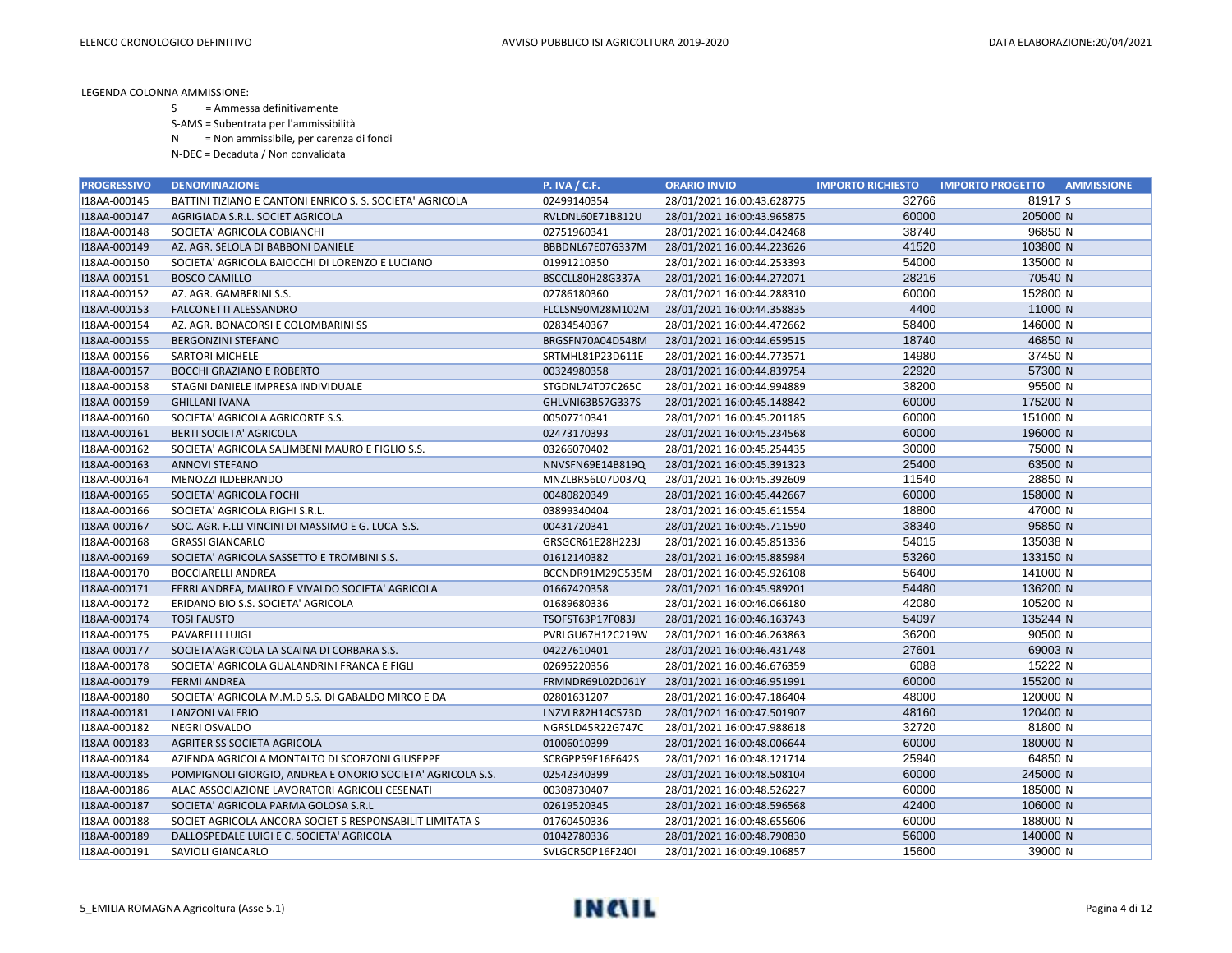S = Ammessa definitivamente

S-AMS = Subentrata per l'ammissibilità

N = Non ammissibile, per carenza di fondi

| <b>PROGRESSIVO</b> | <b>DENOMINAZIONE</b>                                       | <b>P. IVA / C.F.</b> | <b>ORARIO INVIO</b>        | <b>IMPORTO RICHIESTO</b> | <b>IMPORTO PROGETTO</b><br><b>AMMISSIONE</b> |
|--------------------|------------------------------------------------------------|----------------------|----------------------------|--------------------------|----------------------------------------------|
| I18AA-000145       | BATTINI TIZIANO E CANTONI ENRICO S. S. SOCIETA' AGRICOLA   | 02499140354          | 28/01/2021 16:00:43.628775 | 32766                    | 81917 S                                      |
| I18AA-000147       | AGRIGIADA S.R.L. SOCIET AGRICOLA                           | RVLDNL60E71B812U     | 28/01/2021 16:00:43.965875 | 60000                    | 205000 N                                     |
| I18AA-000148       | SOCIETA' AGRICOLA COBIANCHI                                | 02751960341          | 28/01/2021 16:00:44.042468 | 38740                    | 96850 N                                      |
| I18AA-000149       | AZ. AGR. SELOLA DI BABBONI DANIELE                         | BBBDNL67E07G337M     | 28/01/2021 16:00:44.223626 | 41520                    | 103800 N                                     |
| I18AA-000150       | SOCIETA' AGRICOLA BAIOCCHI DI LORENZO E LUCIANO            | 01991210350          | 28/01/2021 16:00:44.253393 | 54000                    | 135000 N                                     |
| I18AA-000151       | <b>BOSCO CAMILLO</b>                                       | BSCCLL80H28G337A     | 28/01/2021 16:00:44.272071 | 28216                    | 70540 N                                      |
| I18AA-000152       | AZ. AGR. GAMBERINI S.S.                                    | 02786180360          | 28/01/2021 16:00:44.288310 | 60000                    | 152800 N                                     |
| I18AA-000153       | FALCONETTI ALESSANDRO                                      | FLCLSN90M28M102M     | 28/01/2021 16:00:44.358835 | 4400                     | 11000 N                                      |
| I18AA-000154       | AZ. AGR. BONACORSI E COLOMBARINI SS                        | 02834540367          | 28/01/2021 16:00:44.472662 | 58400                    | 146000 N                                     |
| I18AA-000155       | <b>BERGONZINI STEFANO</b>                                  | BRGSFN70A04D548M     | 28/01/2021 16:00:44.659515 | 18740                    | 46850 N                                      |
| I18AA-000156       | <b>SARTORI MICHELE</b>                                     | SRTMHL81P23D611E     | 28/01/2021 16:00:44.773571 | 14980                    | 37450 N                                      |
| I18AA-000157       | <b>BOCCHI GRAZIANO E ROBERTO</b>                           | 00324980358          | 28/01/2021 16:00:44.839754 | 22920                    | 57300 N                                      |
| I18AA-000158       | STAGNI DANIELE IMPRESA INDIVIDUALE                         | STGDNL74T07C265C     | 28/01/2021 16:00:44.994889 | 38200                    | 95500 N                                      |
| I18AA-000159       | <b>GHILLANI IVANA</b>                                      | GHLVNI63B57G337S     | 28/01/2021 16:00:45.148842 | 60000                    | 175200 N                                     |
| I18AA-000160       | SOCIETA' AGRICOLA AGRICORTE S.S.                           | 00507710341          | 28/01/2021 16:00:45.201185 | 60000                    | 151000 N                                     |
| I18AA-000161       | <b>BERTI SOCIETA' AGRICOLA</b>                             | 02473170393          | 28/01/2021 16:00:45.234568 | 60000                    | 196000 N                                     |
| I18AA-000162       | SOCIETA' AGRICOLA SALIMBENI MAURO E FIGLIO S.S.            | 03266070402          | 28/01/2021 16:00:45.254435 | 30000                    | 75000 N                                      |
| I18AA-000163       | <b>ANNOVI STEFANO</b>                                      | NNVSFN69E14B819Q     | 28/01/2021 16:00:45.391323 | 25400                    | 63500 N                                      |
| I18AA-000164       | MENOZZI ILDEBRANDO                                         | MNZLBR56L07D037Q     | 28/01/2021 16:00:45.392609 | 11540                    | 28850 N                                      |
| I18AA-000165       | SOCIETA' AGRICOLA FOCHI                                    | 00480820349          | 28/01/2021 16:00:45.442667 | 60000                    | 158000 N                                     |
| I18AA-000166       | SOCIETA' AGRICOLA RIGHI S.R.L.                             | 03899340404          | 28/01/2021 16:00:45.611554 | 18800                    | 47000 N                                      |
| I18AA-000167       | SOC. AGR. F.LLI VINCINI DI MASSIMO E G. LUCA S.S.          | 00431720341          | 28/01/2021 16:00:45.711590 | 38340                    | 95850 N                                      |
| I18AA-000168       | <b>GRASSI GIANCARLO</b>                                    | GRSGCR61E28H223J     | 28/01/2021 16:00:45.851336 | 54015                    | 135038 N                                     |
| I18AA-000169       | SOCIETA' AGRICOLA SASSETTO E TROMBINI S.S.                 | 01612140382          | 28/01/2021 16:00:45.885984 | 53260                    | 133150 N                                     |
| I18AA-000170       | <b>BOCCIARELLI ANDREA</b>                                  | BCCNDR91M29G535M     | 28/01/2021 16:00:45.926108 | 56400                    | 141000 N                                     |
| I18AA-000171       | FERRI ANDREA, MAURO E VIVALDO SOCIETA' AGRICOLA            | 01667420358          | 28/01/2021 16:00:45.989201 | 54480                    | 136200 N                                     |
| I18AA-000172       | ERIDANO BIO S.S. SOCIETA' AGRICOLA                         | 01689680336          | 28/01/2021 16:00:46.066180 | 42080                    | 105200 N                                     |
| I18AA-000174       | <b>TOSI FAUSTO</b>                                         | TSOFST63P17F083J     | 28/01/2021 16:00:46.163743 | 54097                    | 135244 N                                     |
| I18AA-000175       | PAVARELLI LUIGI                                            | PVRLGU67H12C219W     | 28/01/2021 16:00:46.263863 | 36200                    | 90500 N                                      |
| I18AA-000177       | SOCIETA'AGRICOLA LA SCAINA DI CORBARA S.S.                 | 04227610401          | 28/01/2021 16:00:46.431748 | 27601                    | 69003 N                                      |
| I18AA-000178       | SOCIETA' AGRICOLA GUALANDRINI FRANCA E FIGLI               | 02695220356          | 28/01/2021 16:00:46.676359 | 6088                     | 15222 N                                      |
| I18AA-000179       | <b>FERMI ANDREA</b>                                        | FRMNDR69L02D061Y     | 28/01/2021 16:00:46.951991 | 60000                    | 155200 N                                     |
| I18AA-000180       | SOCIETA' AGRICOLA M.M.D S.S. DI GABALDO MIRCO E DA         | 02801631207          | 28/01/2021 16:00:47.186404 | 48000                    | 120000 N                                     |
| I18AA-000181       | <b>LANZONI VALERIO</b>                                     | LNZVLR82H14C573D     | 28/01/2021 16:00:47.501907 | 48160                    | 120400 N                                     |
| I18AA-000182       | <b>NEGRI OSVALDO</b>                                       | NGRSLD45R22G747C     | 28/01/2021 16:00:47.988618 | 32720                    | 81800 N                                      |
| I18AA-000183       | AGRITER SS SOCIETA AGRICOLA                                | 01006010399          | 28/01/2021 16:00:48.006644 | 60000                    | 180000 N                                     |
| I18AA-000184       | AZIENDA AGRICOLA MONTALTO DI SCORZONI GIUSEPPE             | SCRGPP59E16F642S     | 28/01/2021 16:00:48.121714 | 25940                    | 64850 N                                      |
| I18AA-000185       | POMPIGNOLI GIORGIO, ANDREA E ONORIO SOCIETA' AGRICOLA S.S. | 02542340399          | 28/01/2021 16:00:48.508104 | 60000                    | 245000 N                                     |
| I18AA-000186       | ALAC ASSOCIAZIONE LAVORATORI AGRICOLI CESENATI             | 00308730407          | 28/01/2021 16:00:48.526227 | 60000                    | 185000 N                                     |
| I18AA-000187       | SOCIETA' AGRICOLA PARMA GOLOSA S.R.L                       | 02619520345          | 28/01/2021 16:00:48.596568 | 42400                    | 106000 N                                     |
| I18AA-000188       | SOCIET AGRICOLA ANCORA SOCIET S RESPONSABILIT LIMITATA S   | 01760450336          | 28/01/2021 16:00:48.655606 | 60000                    | 188000 N                                     |
| I18AA-000189       | DALLOSPEDALE LUIGI E C. SOCIETA' AGRICOLA                  | 01042780336          | 28/01/2021 16:00:48.790830 | 56000                    | 140000 N                                     |
| I18AA-000191       | SAVIOLI GIANCARLO                                          | SVLGCR50P16F240I     | 28/01/2021 16:00:49.106857 | 15600                    | 39000 N                                      |

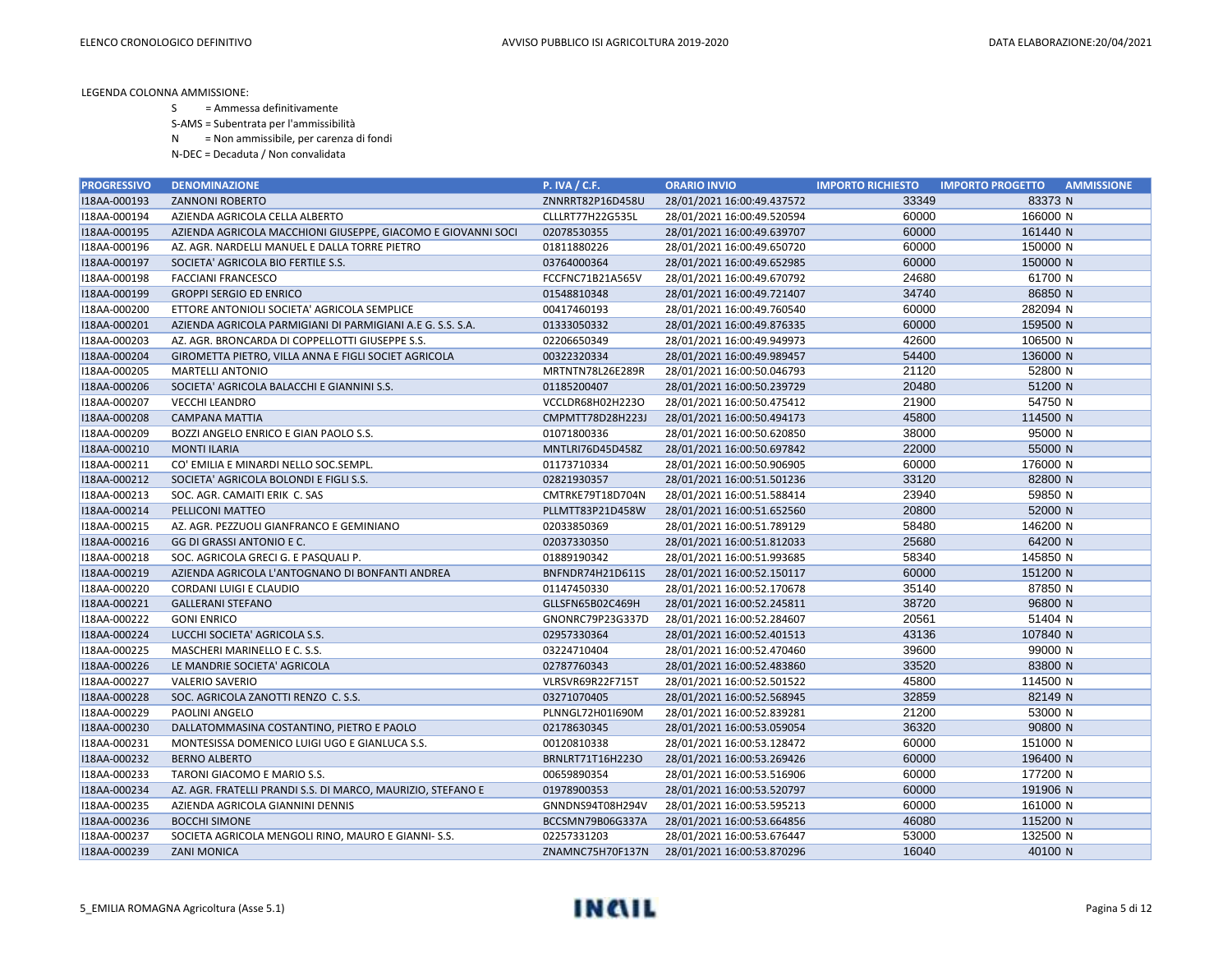S = Ammessa definitivamente

S-AMS = Subentrata per l'ammissibilità

N = Non ammissibile, per carenza di fondi

| <b>PROGRESSIVO</b> | <b>DENOMINAZIONE</b>                                         | <b>P. IVA / C.F.</b> | <b>ORARIO INVIO</b>        | <b>IMPORTO RICHIESTO</b> | <b>IMPORTO PROGETTO</b><br><b>AMMISSIONE</b> |
|--------------------|--------------------------------------------------------------|----------------------|----------------------------|--------------------------|----------------------------------------------|
| I18AA-000193       | <b>ZANNONI ROBERTO</b>                                       | ZNNRRT82P16D458U     | 28/01/2021 16:00:49.437572 | 33349                    | 83373 N                                      |
| I18AA-000194       | AZIENDA AGRICOLA CELLA ALBERTO                               | CLLLRT77H22G535L     | 28/01/2021 16:00:49.520594 | 60000                    | 166000 N                                     |
| I18AA-000195       | AZIENDA AGRICOLA MACCHIONI GIUSEPPE, GIACOMO E GIOVANNI SOCI | 02078530355          | 28/01/2021 16:00:49.639707 | 60000                    | 161440 N                                     |
| I18AA-000196       | AZ. AGR. NARDELLI MANUEL E DALLA TORRE PIETRO                | 01811880226          | 28/01/2021 16:00:49.650720 | 60000                    | 150000 N                                     |
| I18AA-000197       | SOCIETA' AGRICOLA BIO FERTILE S.S.                           | 03764000364          | 28/01/2021 16:00:49.652985 | 60000                    | 150000 N                                     |
| I18AA-000198       | <b>FACCIANI FRANCESCO</b>                                    | FCCFNC71B21A565V     | 28/01/2021 16:00:49.670792 | 24680                    | 61700 N                                      |
| I18AA-000199       | <b>GROPPI SERGIO ED ENRICO</b>                               | 01548810348          | 28/01/2021 16:00:49.721407 | 34740                    | 86850 N                                      |
| I18AA-000200       | ETTORE ANTONIOLI SOCIETA' AGRICOLA SEMPLICE                  | 00417460193          | 28/01/2021 16:00:49.760540 | 60000                    | 282094 N                                     |
| I18AA-000201       | AZIENDA AGRICOLA PARMIGIANI DI PARMIGIANI A.E G. S.S. S.A.   | 01333050332          | 28/01/2021 16:00:49.876335 | 60000                    | 159500 N                                     |
| I18AA-000203       | AZ. AGR. BRONCARDA DI COPPELLOTTI GIUSEPPE S.S.              | 02206650349          | 28/01/2021 16:00:49.949973 | 42600                    | 106500 N                                     |
| I18AA-000204       | GIROMETTA PIETRO, VILLA ANNA E FIGLI SOCIET AGRICOLA         | 00322320334          | 28/01/2021 16:00:49.989457 | 54400                    | 136000 N                                     |
| I18AA-000205       | <b>MARTELLI ANTONIO</b>                                      | MRTNTN78L26E289R     | 28/01/2021 16:00:50.046793 | 21120                    | 52800 N                                      |
| I18AA-000206       | SOCIETA' AGRICOLA BALACCHI E GIANNINI S.S.                   | 01185200407          | 28/01/2021 16:00:50.239729 | 20480                    | 51200 N                                      |
| I18AA-000207       | <b>VECCHI LEANDRO</b>                                        | VCCLDR68H02H223O     | 28/01/2021 16:00:50.475412 | 21900                    | 54750 N                                      |
| I18AA-000208       | <b>CAMPANA MATTIA</b>                                        | CMPMTT78D28H223J     | 28/01/2021 16:00:50.494173 | 45800                    | 114500 N                                     |
| I18AA-000209       | BOZZI ANGELO ENRICO E GIAN PAOLO S.S.                        | 01071800336          | 28/01/2021 16:00:50.620850 | 38000                    | 95000 N                                      |
| I18AA-000210       | <b>MONTI ILARIA</b>                                          | MNTLRI76D45D458Z     | 28/01/2021 16:00:50.697842 | 22000                    | 55000 N                                      |
| I18AA-000211       | CO' EMILIA E MINARDI NELLO SOC.SEMPL.                        | 01173710334          | 28/01/2021 16:00:50.906905 | 60000                    | 176000 N                                     |
| I18AA-000212       | SOCIETA' AGRICOLA BOLONDI E FIGLI S.S.                       | 02821930357          | 28/01/2021 16:00:51.501236 | 33120                    | 82800 N                                      |
| I18AA-000213       | SOC. AGR. CAMAITI ERIK C. SAS                                | CMTRKE79T18D704N     | 28/01/2021 16:00:51.588414 | 23940                    | 59850 N                                      |
| I18AA-000214       | PELLICONI MATTEO                                             | PLLMTT83P21D458W     | 28/01/2021 16:00:51.652560 | 20800                    | 52000 N                                      |
| I18AA-000215       | AZ. AGR. PEZZUOLI GIANFRANCO E GEMINIANO                     | 02033850369          | 28/01/2021 16:00:51.789129 | 58480                    | 146200 N                                     |
| I18AA-000216       | GG DI GRASSI ANTONIO E C.                                    | 02037330350          | 28/01/2021 16:00:51.812033 | 25680                    | 64200 N                                      |
| I18AA-000218       | SOC. AGRICOLA GRECI G. E PASQUALI P.                         | 01889190342          | 28/01/2021 16:00:51.993685 | 58340                    | 145850 N                                     |
| I18AA-000219       | AZIENDA AGRICOLA L'ANTOGNANO DI BONFANTI ANDREA              | BNFNDR74H21D611S     | 28/01/2021 16:00:52.150117 | 60000                    | 151200 N                                     |
| I18AA-000220       | CORDANI LUIGI E CLAUDIO                                      | 01147450330          | 28/01/2021 16:00:52.170678 | 35140                    | 87850 N                                      |
| I18AA-000221       | <b>GALLERANI STEFANO</b>                                     | GLLSFN65B02C469H     | 28/01/2021 16:00:52.245811 | 38720                    | 96800 N                                      |
| I18AA-000222       | <b>GONI ENRICO</b>                                           | GNONRC79P23G337D     | 28/01/2021 16:00:52.284607 | 20561                    | 51404 N                                      |
| I18AA-000224       | LUCCHI SOCIETA' AGRICOLA S.S.                                | 02957330364          | 28/01/2021 16:00:52.401513 | 43136                    | 107840 N                                     |
| I18AA-000225       | MASCHERI MARINELLO E C. S.S.                                 | 03224710404          | 28/01/2021 16:00:52.470460 | 39600                    | 99000 N                                      |
| I18AA-000226       | LE MANDRIE SOCIETA' AGRICOLA                                 | 02787760343          | 28/01/2021 16:00:52.483860 | 33520                    | 83800 N                                      |
| I18AA-000227       | <b>VALERIO SAVERIO</b>                                       | VLRSVR69R22F715T     | 28/01/2021 16:00:52.501522 | 45800                    | 114500 N                                     |
| I18AA-000228       | SOC. AGRICOLA ZANOTTI RENZO C. S.S.                          | 03271070405          | 28/01/2021 16:00:52.568945 | 32859                    | 82149 N                                      |
| I18AA-000229       | PAOLINI ANGELO                                               | PLNNGL72H01I690M     | 28/01/2021 16:00:52.839281 | 21200                    | 53000 N                                      |
| I18AA-000230       | DALLATOMMASINA COSTANTINO, PIETRO E PAOLO                    | 02178630345          | 28/01/2021 16:00:53.059054 | 36320                    | 90800 N                                      |
| I18AA-000231       | MONTESISSA DOMENICO LUIGI UGO E GIANLUCA S.S.                | 00120810338          | 28/01/2021 16:00:53.128472 | 60000                    | 151000 N                                     |
| I18AA-000232       | <b>BERNO ALBERTO</b>                                         | BRNLRT71T16H223O     | 28/01/2021 16:00:53.269426 | 60000                    | 196400 N                                     |
| I18AA-000233       | TARONI GIACOMO E MARIO S.S.                                  | 00659890354          | 28/01/2021 16:00:53.516906 | 60000                    | 177200 N                                     |
| I18AA-000234       | AZ. AGR. FRATELLI PRANDI S.S. DI MARCO, MAURIZIO, STEFANO E  | 01978900353          | 28/01/2021 16:00:53.520797 | 60000                    | 191906 N                                     |
| I18AA-000235       | AZIENDA AGRICOLA GIANNINI DENNIS                             | GNNDNS94T08H294V     | 28/01/2021 16:00:53.595213 | 60000                    | 161000 N                                     |
| I18AA-000236       | <b>BOCCHI SIMONE</b>                                         | BCCSMN79B06G337A     | 28/01/2021 16:00:53.664856 | 46080                    | 115200 N                                     |
| I18AA-000237       | SOCIETA AGRICOLA MENGOLI RINO, MAURO E GIANNI-S.S.           | 02257331203          | 28/01/2021 16:00:53.676447 | 53000                    | 132500 N                                     |
| I18AA-000239       | <b>ZANI MONICA</b>                                           | ZNAMNC75H70F137N     | 28/01/2021 16:00:53.870296 | 16040                    | 40100 N                                      |

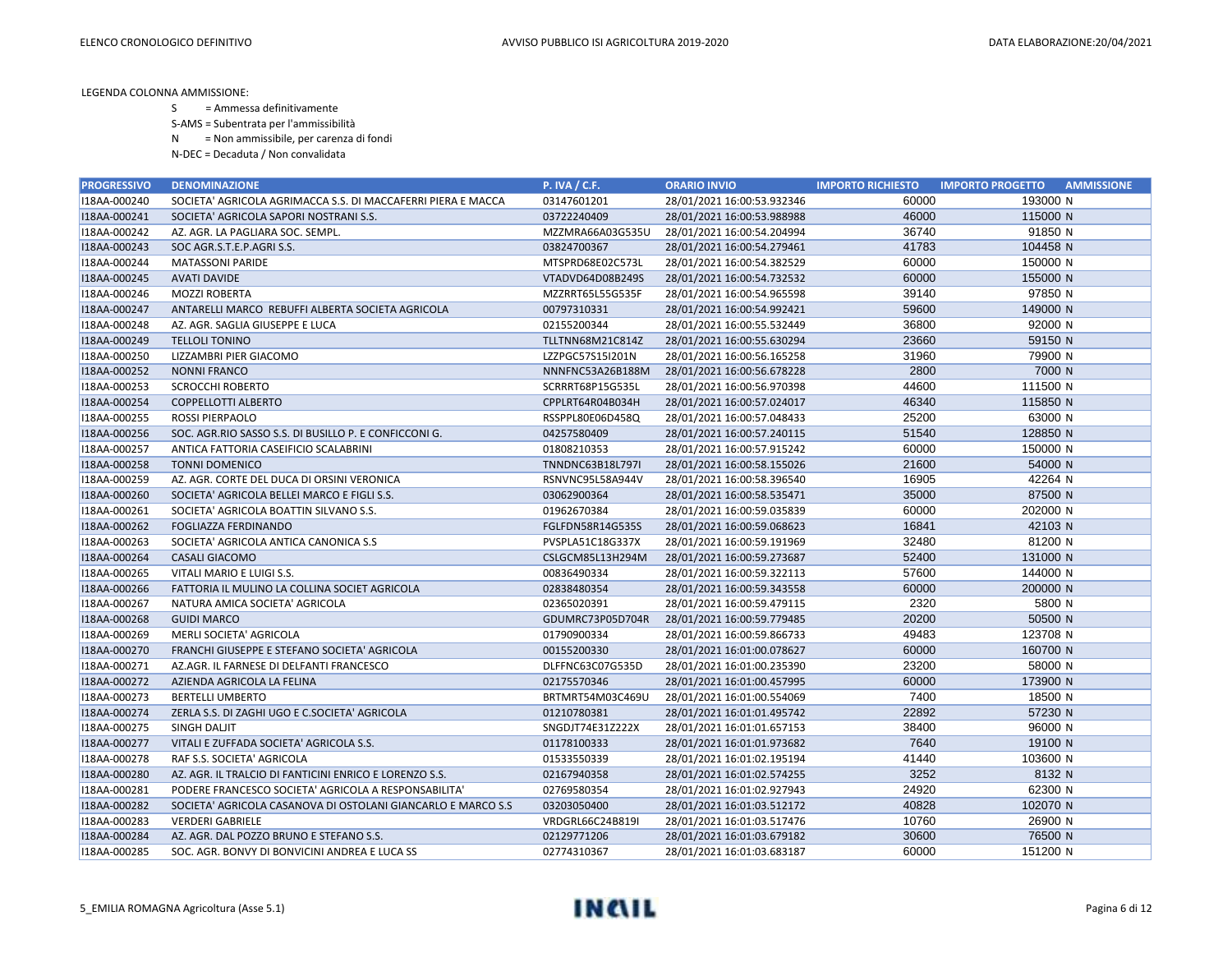S = Ammessa definitivamente

S-AMS = Subentrata per l'ammissibilità

N = Non ammissibile, per carenza di fondi

| <b>PROGRESSIVO</b> | <b>DENOMINAZIONE</b>                                         | <b>P. IVA / C.F.</b> | <b>ORARIO INVIO</b>        | <b>IMPORTO RICHIESTO</b> | <b>AMMISSIONE</b><br><b>IMPORTO PROGETTO</b> |
|--------------------|--------------------------------------------------------------|----------------------|----------------------------|--------------------------|----------------------------------------------|
| I18AA-000240       | SOCIETA' AGRICOLA AGRIMACCA S.S. DI MACCAFERRI PIERA E MACCA | 03147601201          | 28/01/2021 16:00:53.932346 | 60000                    | 193000 N                                     |
| I18AA-000241       | SOCIETA' AGRICOLA SAPORI NOSTRANI S.S.                       | 03722240409          | 28/01/2021 16:00:53.988988 | 46000                    | 115000 N                                     |
| I18AA-000242       | AZ. AGR. LA PAGLIARA SOC. SEMPL.                             | MZZMRA66A03G535U     | 28/01/2021 16:00:54.204994 | 36740                    | 91850 N                                      |
| I18AA-000243       | SOC AGR.S.T.E.P.AGRI S.S.                                    | 03824700367          | 28/01/2021 16:00:54.279461 | 41783                    | 104458 N                                     |
| I18AA-000244       | <b>MATASSONI PARIDE</b>                                      | MTSPRD68E02C573L     | 28/01/2021 16:00:54.382529 | 60000                    | 150000 N                                     |
| I18AA-000245       | <b>AVATI DAVIDE</b>                                          | VTADVD64D08B249S     | 28/01/2021 16:00:54.732532 | 60000                    | 155000 N                                     |
| I18AA-000246       | <b>MOZZI ROBERTA</b>                                         | MZZRRT65L55G535F     | 28/01/2021 16:00:54.965598 | 39140                    | 97850 N                                      |
| I18AA-000247       | ANTARELLI MARCO REBUFFI ALBERTA SOCIETA AGRICOLA             | 00797310331          | 28/01/2021 16:00:54.992421 | 59600                    | 149000 N                                     |
| I18AA-000248       | AZ. AGR. SAGLIA GIUSEPPE E LUCA                              | 02155200344          | 28/01/2021 16:00:55.532449 | 36800                    | 92000 N                                      |
| I18AA-000249       | <b>TELLOLI TONINO</b>                                        | TLLTNN68M21C814Z     | 28/01/2021 16:00:55.630294 | 23660                    | 59150 N                                      |
| I18AA-000250       | LIZZAMBRI PIER GIACOMO                                       | LZZPGC57S15I201N     | 28/01/2021 16:00:56.165258 | 31960                    | 79900 N                                      |
| I18AA-000252       | <b>NONNI FRANCO</b>                                          | NNNFNC53A26B188M     | 28/01/2021 16:00:56.678228 | 2800                     | 7000 N                                       |
| I18AA-000253       | <b>SCROCCHI ROBERTO</b>                                      | SCRRRT68P15G535L     | 28/01/2021 16:00:56.970398 | 44600                    | 111500 N                                     |
| I18AA-000254       | <b>COPPELLOTTI ALBERTO</b>                                   | CPPLRT64R04B034H     | 28/01/2021 16:00:57.024017 | 46340                    | 115850 N                                     |
| I18AA-000255       | ROSSI PIERPAOLO                                              | RSSPPL80E06D458Q     | 28/01/2021 16:00:57.048433 | 25200                    | 63000 N                                      |
| I18AA-000256       | SOC. AGR.RIO SASSO S.S. DI BUSILLO P. E CONFICCONI G.        | 04257580409          | 28/01/2021 16:00:57.240115 | 51540                    | 128850 N                                     |
| I18AA-000257       | ANTICA FATTORIA CASEIFICIO SCALABRINI                        | 01808210353          | 28/01/2021 16:00:57.915242 | 60000                    | 150000 N                                     |
| I18AA-000258       | <b>TONNI DOMENICO</b>                                        | TNNDNC63B18L797I     | 28/01/2021 16:00:58.155026 | 21600                    | 54000 N                                      |
| I18AA-000259       | AZ. AGR. CORTE DEL DUCA DI ORSINI VERONICA                   | RSNVNC95L58A944V     | 28/01/2021 16:00:58.396540 | 16905                    | 42264 N                                      |
| I18AA-000260       | SOCIETA' AGRICOLA BELLEI MARCO E FIGLI S.S.                  | 03062900364          | 28/01/2021 16:00:58.535471 | 35000                    | 87500 N                                      |
| I18AA-000261       | SOCIETA' AGRICOLA BOATTIN SILVANO S.S.                       | 01962670384          | 28/01/2021 16:00:59.035839 | 60000                    | 202000 N                                     |
| I18AA-000262       | <b>FOGLIAZZA FERDINANDO</b>                                  | FGLFDN58R14G535S     | 28/01/2021 16:00:59.068623 | 16841                    | 42103 N                                      |
| I18AA-000263       | SOCIETA' AGRICOLA ANTICA CANONICA S.S                        | PVSPLA51C18G337X     | 28/01/2021 16:00:59.191969 | 32480                    | 81200 N                                      |
| I18AA-000264       | <b>CASALI GIACOMO</b>                                        | CSLGCM85L13H294M     | 28/01/2021 16:00:59.273687 | 52400                    | 131000 N                                     |
| I18AA-000265       | VITALI MARIO E LUIGI S.S.                                    | 00836490334          | 28/01/2021 16:00:59.322113 | 57600                    | 144000 N                                     |
| I18AA-000266       | FATTORIA IL MULINO LA COLLINA SOCIET AGRICOLA                | 02838480354          | 28/01/2021 16:00:59.343558 | 60000                    | 200000 N                                     |
| I18AA-000267       | NATURA AMICA SOCIETA' AGRICOLA                               | 02365020391          | 28/01/2021 16:00:59.479115 | 2320                     | 5800 N                                       |
| I18AA-000268       | <b>GUIDI MARCO</b>                                           | GDUMRC73P05D704R     | 28/01/2021 16:00:59.779485 | 20200                    | 50500 N                                      |
| I18AA-000269       | MERLI SOCIETA' AGRICOLA                                      | 01790900334          | 28/01/2021 16:00:59.866733 | 49483                    | 123708 N                                     |
| I18AA-000270       | FRANCHI GIUSEPPE E STEFANO SOCIETA' AGRICOLA                 | 00155200330          | 28/01/2021 16:01:00.078627 | 60000                    | 160700 N                                     |
| I18AA-000271       | AZ.AGR. IL FARNESE DI DELFANTI FRANCESCO                     | DLFFNC63C07G535D     | 28/01/2021 16:01:00.235390 | 23200                    | 58000 N                                      |
| I18AA-000272       | AZIENDA AGRICOLA LA FELINA                                   | 02175570346          | 28/01/2021 16:01:00.457995 | 60000                    | 173900 N                                     |
| I18AA-000273       | <b>BERTELLI UMBERTO</b>                                      | BRTMRT54M03C469U     | 28/01/2021 16:01:00.554069 | 7400                     | 18500 N                                      |
| I18AA-000274       | ZERLA S.S. DI ZAGHI UGO E C.SOCIETA' AGRICOLA                | 01210780381          | 28/01/2021 16:01:01.495742 | 22892                    | 57230 N                                      |
| I18AA-000275       | <b>SINGH DALIT</b>                                           | SNGDJT74E31Z222X     | 28/01/2021 16:01:01.657153 | 38400                    | 96000 N                                      |
| I18AA-000277       | VITALI E ZUFFADA SOCIETA' AGRICOLA S.S.                      | 01178100333          | 28/01/2021 16:01:01.973682 | 7640                     | 19100 N                                      |
| I18AA-000278       | RAF S.S. SOCIETA' AGRICOLA                                   | 01533550339          | 28/01/2021 16:01:02.195194 | 41440                    | 103600 N                                     |
| I18AA-000280       | AZ. AGR. IL TRALCIO DI FANTICINI ENRICO E LORENZO S.S.       | 02167940358          | 28/01/2021 16:01:02.574255 | 3252                     | 8132 N                                       |
| I18AA-000281       | PODERE FRANCESCO SOCIETA' AGRICOLA A RESPONSABILITA'         | 02769580354          | 28/01/2021 16:01:02.927943 | 24920                    | 62300 N                                      |
| I18AA-000282       | SOCIETA' AGRICOLA CASANOVA DI OSTOLANI GIANCARLO E MARCO S.S | 03203050400          | 28/01/2021 16:01:03.512172 | 40828                    | 102070 N                                     |
| I18AA-000283       | <b>VERDERI GABRIELE</b>                                      | VRDGRL66C24B819I     | 28/01/2021 16:01:03.517476 | 10760                    | 26900 N                                      |
| I18AA-000284       | AZ. AGR. DAL POZZO BRUNO E STEFANO S.S.                      | 02129771206          | 28/01/2021 16:01:03.679182 | 30600                    | 76500 N                                      |
| I18AA-000285       | SOC. AGR. BONVY DI BONVICINI ANDREA E LUCA SS                | 02774310367          | 28/01/2021 16:01:03.683187 | 60000                    | 151200 N                                     |

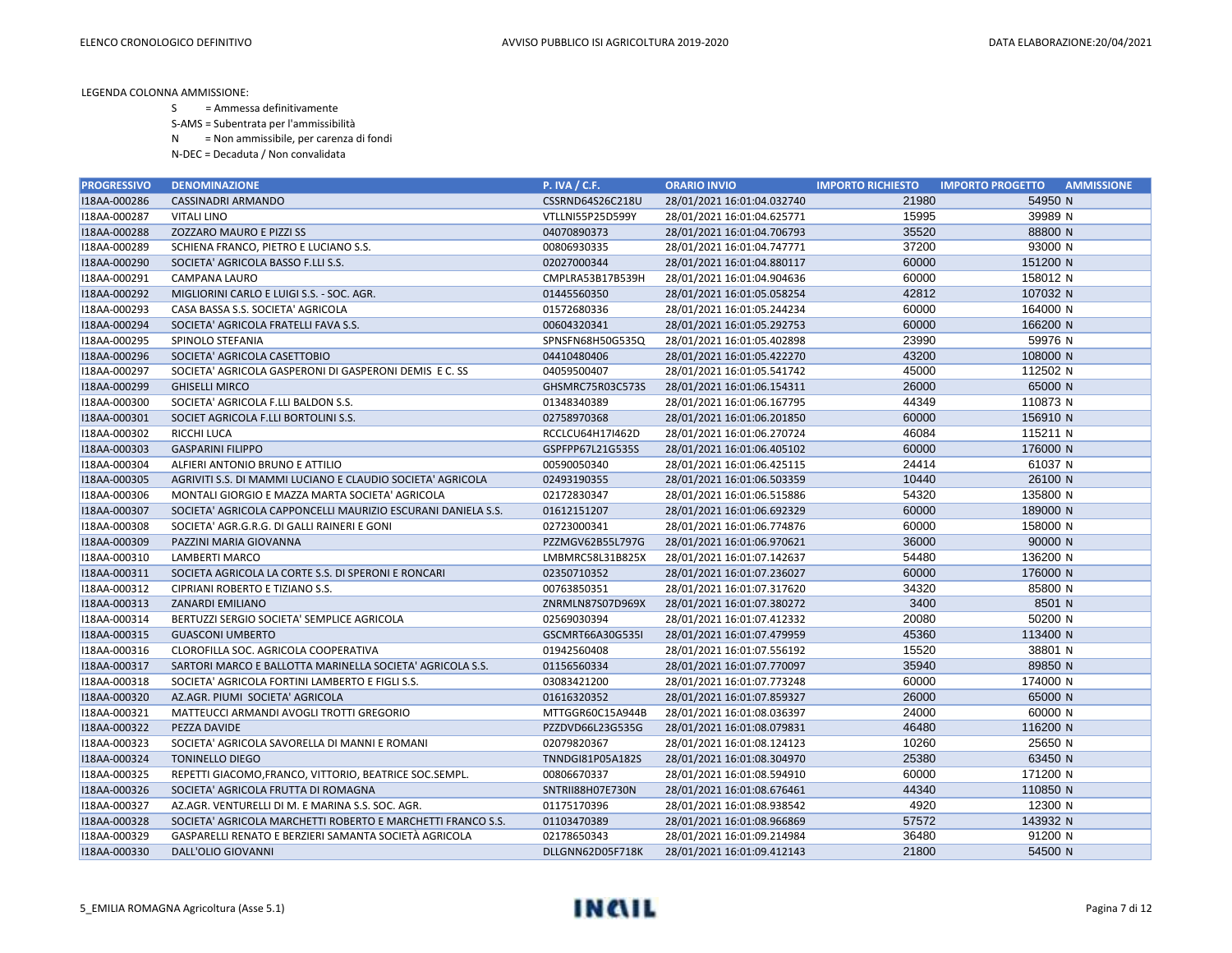- S = Ammessa definitivamente
- S-AMS = Subentrata per l'ammissibilità
- N = Non ammissibile, per carenza di fondi
- N-DEC = Decaduta / Non convalidata

| <b>PROGRESSIVO</b> | <b>DENOMINAZIONE</b>                                         | <b>P. IVA / C.F.</b> | <b>ORARIO INVIO</b>        | <b>IMPORTO RICHIESTO</b> | <b>IMPORTO PROGETTO</b><br><b>AMMISSIONE</b> |
|--------------------|--------------------------------------------------------------|----------------------|----------------------------|--------------------------|----------------------------------------------|
| I18AA-000286       | <b>CASSINADRI ARMANDO</b>                                    | CSSRND64S26C218U     | 28/01/2021 16:01:04.032740 | 21980                    | 54950 N                                      |
| I18AA-000287       | <b>VITALI LINO</b>                                           | VTLLNI55P25D599Y     | 28/01/2021 16:01:04.625771 | 15995                    | 39989 N                                      |
| I18AA-000288       | ZOZZARO MAURO E PIZZI SS                                     | 04070890373          | 28/01/2021 16:01:04.706793 | 35520                    | 88800 N                                      |
| I18AA-000289       | SCHIENA FRANCO, PIETRO E LUCIANO S.S.                        | 00806930335          | 28/01/2021 16:01:04.747771 | 37200                    | 93000 N                                      |
| I18AA-000290       | SOCIETA' AGRICOLA BASSO F.LLI S.S.                           | 02027000344          | 28/01/2021 16:01:04.880117 | 60000                    | 151200 N                                     |
| I18AA-000291       | CAMPANA LAURO                                                | CMPLRA53B17B539H     | 28/01/2021 16:01:04.904636 | 60000                    | 158012 N                                     |
| I18AA-000292       | MIGLIORINI CARLO E LUIGI S.S. - SOC. AGR.                    | 01445560350          | 28/01/2021 16:01:05.058254 | 42812                    | 107032 N                                     |
| I18AA-000293       | CASA BASSA S.S. SOCIETA' AGRICOLA                            | 01572680336          | 28/01/2021 16:01:05.244234 | 60000                    | 164000 N                                     |
| I18AA-000294       | SOCIETA' AGRICOLA FRATELLI FAVA S.S.                         | 00604320341          | 28/01/2021 16:01:05.292753 | 60000                    | 166200 N                                     |
| I18AA-000295       | SPINOLO STEFANIA                                             | SPNSFN68H50G535Q     | 28/01/2021 16:01:05.402898 | 23990                    | 59976 N                                      |
| I18AA-000296       | SOCIETA' AGRICOLA CASETTOBIO                                 | 04410480406          | 28/01/2021 16:01:05.422270 | 43200                    | 108000 N                                     |
| I18AA-000297       | SOCIETA' AGRICOLA GASPERONI DI GASPERONI DEMIS E C. SS       | 04059500407          | 28/01/2021 16:01:05.541742 | 45000                    | 112502 N                                     |
| I18AA-000299       | <b>GHISELLI MIRCO</b>                                        | GHSMRC75R03C573S     | 28/01/2021 16:01:06.154311 | 26000                    | 65000 N                                      |
| I18AA-000300       | SOCIETA' AGRICOLA F.LLI BALDON S.S.                          | 01348340389          | 28/01/2021 16:01:06.167795 | 44349                    | 110873 N                                     |
| I18AA-000301       | SOCIET AGRICOLA F.LLI BORTOLINI S.S.                         | 02758970368          | 28/01/2021 16:01:06.201850 | 60000                    | 156910 N                                     |
| I18AA-000302       | RICCHI LUCA                                                  | RCCLCU64H17I462D     | 28/01/2021 16:01:06.270724 | 46084                    | 115211 N                                     |
| I18AA-000303       | <b>GASPARINI FILIPPO</b>                                     | GSPFPP67L21G535S     | 28/01/2021 16:01:06.405102 | 60000                    | 176000 N                                     |
| I18AA-000304       | ALFIERI ANTONIO BRUNO E ATTILIO                              | 00590050340          | 28/01/2021 16:01:06.425115 | 24414                    | 61037 N                                      |
| I18AA-000305       | AGRIVITI S.S. DI MAMMI LUCIANO E CLAUDIO SOCIETA' AGRICOLA   | 02493190355          | 28/01/2021 16:01:06.503359 | 10440                    | 26100 N                                      |
| I18AA-000306       | MONTALI GIORGIO E MAZZA MARTA SOCIETA' AGRICOLA              | 02172830347          | 28/01/2021 16:01:06.515886 | 54320                    | 135800 N                                     |
| I18AA-000307       | SOCIETA' AGRICOLA CAPPONCELLI MAURIZIO ESCURANI DANIELA S.S. | 01612151207          | 28/01/2021 16:01:06.692329 | 60000                    | 189000 N                                     |
| I18AA-000308       | SOCIETA' AGR.G.R.G. DI GALLI RAINERI E GONI                  | 02723000341          | 28/01/2021 16:01:06.774876 | 60000                    | 158000 N                                     |
| I18AA-000309       | PAZZINI MARIA GIOVANNA                                       | PZZMGV62B55L797G     | 28/01/2021 16:01:06.970621 | 36000                    | 90000 N                                      |
| I18AA-000310       | LAMBERTI MARCO                                               | LMBMRC58L31B825X     | 28/01/2021 16:01:07.142637 | 54480                    | 136200 N                                     |
| I18AA-000311       | SOCIETA AGRICOLA LA CORTE S.S. DI SPERONI E RONCARI          | 02350710352          | 28/01/2021 16:01:07.236027 | 60000                    | 176000 N                                     |
| I18AA-000312       | CIPRIANI ROBERTO E TIZIANO S.S.                              | 00763850351          | 28/01/2021 16:01:07.317620 | 34320                    | 85800 N                                      |
| I18AA-000313       | <b>ZANARDI EMILIANO</b>                                      | ZNRMLN87S07D969X     | 28/01/2021 16:01:07.380272 | 3400                     | 8501 N                                       |
| I18AA-000314       | BERTUZZI SERGIO SOCIETA' SEMPLICE AGRICOLA                   | 02569030394          | 28/01/2021 16:01:07.412332 | 20080                    | 50200 N                                      |
| I18AA-000315       | <b>GUASCONI UMBERTO</b>                                      | GSCMRT66A30G535I     | 28/01/2021 16:01:07.479959 | 45360                    | 113400 N                                     |
| I18AA-000316       | CLOROFILLA SOC. AGRICOLA COOPERATIVA                         | 01942560408          | 28/01/2021 16:01:07.556192 | 15520                    | 38801 N                                      |
| I18AA-000317       | SARTORI MARCO E BALLOTTA MARINELLA SOCIETA' AGRICOLA S.S.    | 01156560334          | 28/01/2021 16:01:07.770097 | 35940                    | 89850 N                                      |
| I18AA-000318       | SOCIETA' AGRICOLA FORTINI LAMBERTO E FIGLI S.S.              | 03083421200          | 28/01/2021 16:01:07.773248 | 60000                    | 174000 N                                     |
| I18AA-000320       | AZ.AGR. PIUMI SOCIETA' AGRICOLA                              | 01616320352          | 28/01/2021 16:01:07.859327 | 26000                    | 65000 N                                      |
| I18AA-000321       | MATTEUCCI ARMANDI AVOGLI TROTTI GREGORIO                     | MTTGGR60C15A944B     | 28/01/2021 16:01:08.036397 | 24000                    | 60000 N                                      |
| I18AA-000322       | PEZZA DAVIDE                                                 | PZZDVD66L23G535G     | 28/01/2021 16:01:08.079831 | 46480                    | 116200 N                                     |
| I18AA-000323       | SOCIETA' AGRICOLA SAVORELLA DI MANNI E ROMANI                | 02079820367          | 28/01/2021 16:01:08.124123 | 10260                    | 25650 N                                      |
| I18AA-000324       | <b>TONINELLO DIEGO</b>                                       | TNNDGI81P05A182S     | 28/01/2021 16:01:08.304970 | 25380                    | 63450 N                                      |
| I18AA-000325       | REPETTI GIACOMO, FRANCO, VITTORIO, BEATRICE SOC. SEMPL.      | 00806670337          | 28/01/2021 16:01:08.594910 | 60000                    | 171200 N                                     |
| I18AA-000326       | SOCIETA' AGRICOLA FRUTTA DI ROMAGNA                          | SNTRII88H07E730N     | 28/01/2021 16:01:08.676461 | 44340                    | 110850 N                                     |
| I18AA-000327       | AZ.AGR. VENTURELLI DI M. E MARINA S.S. SOC. AGR.             | 01175170396          | 28/01/2021 16:01:08.938542 | 4920                     | 12300 N                                      |
| I18AA-000328       | SOCIETA' AGRICOLA MARCHETTI ROBERTO E MARCHETTI FRANCO S.S.  | 01103470389          | 28/01/2021 16:01:08.966869 | 57572                    | 143932 N                                     |
| I18AA-000329       | GASPARELLI RENATO E BERZIERI SAMANTA SOCIETÀ AGRICOLA        | 02178650343          | 28/01/2021 16:01:09.214984 | 36480                    | 91200 N                                      |
| I18AA-000330       | DALL'OLIO GIOVANNI                                           | DLLGNN62D05F718K     | 28/01/2021 16:01:09.412143 | 21800                    | 54500 N                                      |

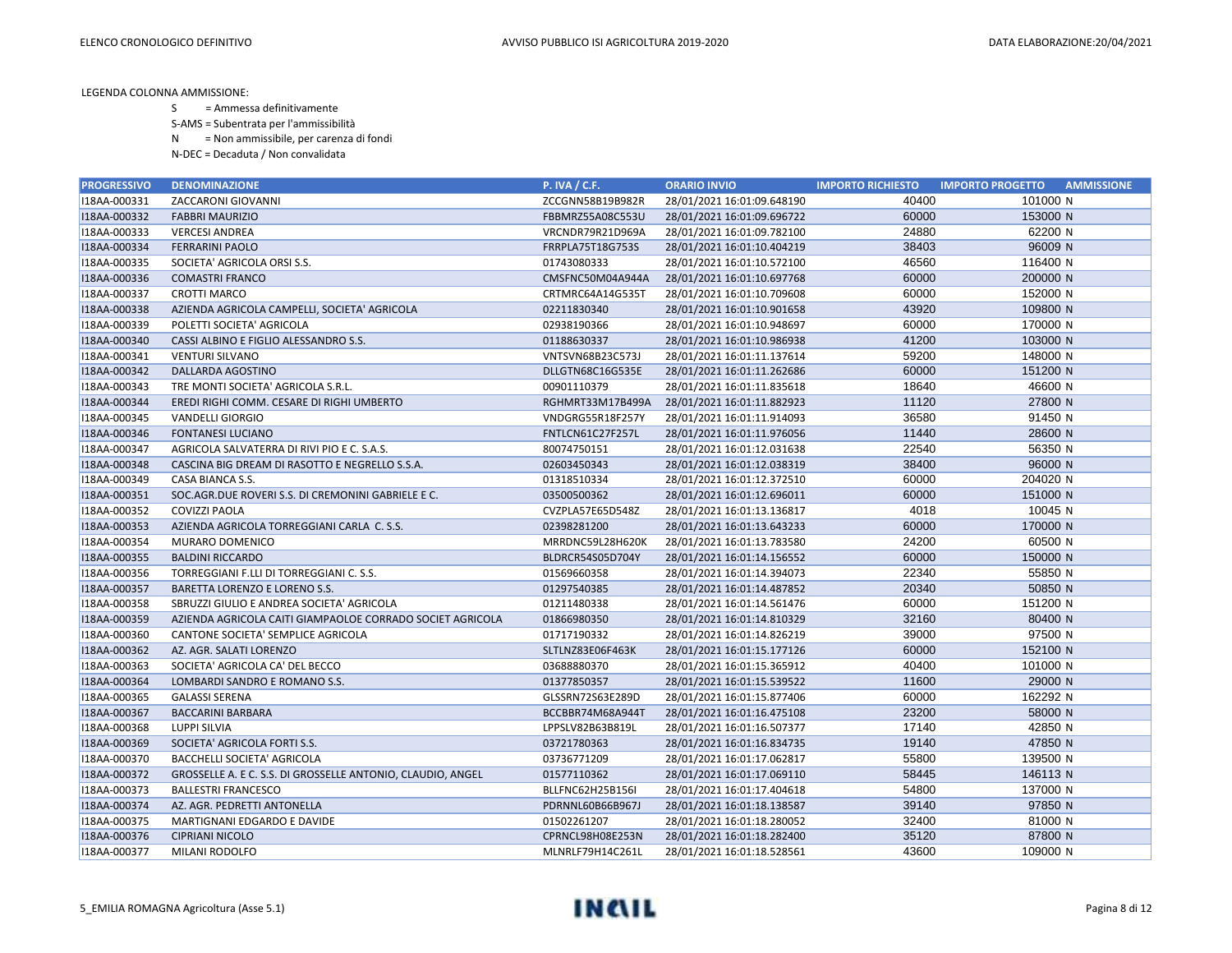- S = Ammessa definitivamente
- S-AMS = Subentrata per l'ammissibilità
- N = Non ammissibile, per carenza di fondi
- N-DEC = Decaduta / Non convalidata

| <b>PROGRESSIVO</b> | <b>DENOMINAZIONE</b>                                        | <b>P. IVA / C.F.</b>    | <b>ORARIO INVIO</b>        | <b>IMPORTO RICHIESTO</b> | <b>AMMISSIONE</b><br><b>IMPORTO PROGETTO</b> |
|--------------------|-------------------------------------------------------------|-------------------------|----------------------------|--------------------------|----------------------------------------------|
| I18AA-000331       | ZACCARONI GIOVANNI                                          | ZCCGNN58B19B982R        | 28/01/2021 16:01:09.648190 | 40400                    | 101000 N                                     |
| I18AA-000332       | <b>FABBRI MAURIZIO</b>                                      | FBBMRZ55A08C553U        | 28/01/2021 16:01:09.696722 | 60000                    | 153000 N                                     |
| I18AA-000333       | <b>VERCESI ANDREA</b>                                       | VRCNDR79R21D969A        | 28/01/2021 16:01:09.782100 | 24880                    | 62200 N                                      |
| I18AA-000334       | <b>FERRARINI PAOLO</b>                                      | FRRPLA75T18G753S        | 28/01/2021 16:01:10.404219 | 38403                    | 96009 N                                      |
| I18AA-000335       | SOCIETA' AGRICOLA ORSI S.S.                                 | 01743080333             | 28/01/2021 16:01:10.572100 | 46560                    | 116400 N                                     |
| I18AA-000336       | <b>COMASTRI FRANCO</b>                                      | CMSFNC50M04A944A        | 28/01/2021 16:01:10.697768 | 60000                    | 200000 N                                     |
| I18AA-000337       | <b>CROTTI MARCO</b>                                         | CRTMRC64A14G535T        | 28/01/2021 16:01:10.709608 | 60000                    | 152000 N                                     |
| I18AA-000338       | AZIENDA AGRICOLA CAMPELLI, SOCIETA' AGRICOLA                | 02211830340             | 28/01/2021 16:01:10.901658 | 43920                    | 109800 N                                     |
| I18AA-000339       | POLETTI SOCIETA' AGRICOLA                                   | 02938190366             | 28/01/2021 16:01:10.948697 | 60000                    | 170000 N                                     |
| I18AA-000340       | CASSI ALBINO E FIGLIO ALESSANDRO S.S.                       | 01188630337             | 28/01/2021 16:01:10.986938 | 41200                    | 103000 N                                     |
| I18AA-000341       | VENTURI SILVANO                                             | VNTSVN68B23C573J        | 28/01/2021 16:01:11.137614 | 59200                    | 148000 N                                     |
| I18AA-000342       | DALLARDA AGOSTINO                                           | DLLGTN68C16G535E        | 28/01/2021 16:01:11.262686 | 60000                    | 151200 N                                     |
| I18AA-000343       | TRE MONTI SOCIETA' AGRICOLA S.R.L.                          | 00901110379             | 28/01/2021 16:01:11.835618 | 18640                    | 46600 N                                      |
| I18AA-000344       | EREDI RIGHI COMM. CESARE DI RIGHI UMBERTO                   | RGHMRT33M17B499A        | 28/01/2021 16:01:11.882923 | 11120                    | 27800 N                                      |
| I18AA-000345       | VANDELLI GIORGIO                                            | VNDGRG55R18F257Y        | 28/01/2021 16:01:11.914093 | 36580                    | 91450 N                                      |
| I18AA-000346       | <b>FONTANESI LUCIANO</b>                                    | FNTLCN61C27F257L        | 28/01/2021 16:01:11.976056 | 11440                    | 28600 N                                      |
| I18AA-000347       | AGRICOLA SALVATERRA DI RIVI PIO E C. S.A.S.                 | 80074750151             | 28/01/2021 16:01:12.031638 | 22540                    | 56350 N                                      |
| I18AA-000348       | CASCINA BIG DREAM DI RASOTTO E NEGRELLO S.S.A.              | 02603450343             | 28/01/2021 16:01:12.038319 | 38400                    | 96000 N                                      |
| I18AA-000349       | CASA BIANCA S.S.                                            | 01318510334             | 28/01/2021 16:01:12.372510 | 60000                    | 204020 N                                     |
| I18AA-000351       | SOC.AGR.DUE ROVERI S.S. DI CREMONINI GABRIELE E C.          | 03500500362             | 28/01/2021 16:01:12.696011 | 60000                    | 151000 N                                     |
| I18AA-000352       | <b>COVIZZI PAOLA</b>                                        | CVZPLA57E65D548Z        | 28/01/2021 16:01:13.136817 | 4018                     | 10045 N                                      |
| I18AA-000353       | AZIENDA AGRICOLA TORREGGIANI CARLA C. S.S.                  | 02398281200             | 28/01/2021 16:01:13.643233 | 60000                    | 170000 N                                     |
| I18AA-000354       | MURARO DOMENICO                                             | MRRDNC59L28H620K        | 28/01/2021 16:01:13.783580 | 24200                    | 60500 N                                      |
| I18AA-000355       | <b>BALDINI RICCARDO</b>                                     | BLDRCR54S05D704Y        | 28/01/2021 16:01:14.156552 | 60000                    | 150000 N                                     |
| I18AA-000356       | TORREGGIANI F.LLI DI TORREGGIANI C. S.S.                    | 01569660358             | 28/01/2021 16:01:14.394073 | 22340                    | 55850 N                                      |
| I18AA-000357       | BARETTA LORENZO E LORENO S.S.                               | 01297540385             | 28/01/2021 16:01:14.487852 | 20340                    | 50850 N                                      |
| I18AA-000358       | SBRUZZI GIULIO E ANDREA SOCIETA' AGRICOLA                   | 01211480338             | 28/01/2021 16:01:14.561476 | 60000                    | 151200 N                                     |
| I18AA-000359       | AZIENDA AGRICOLA CAITI GIAMPAOLOE CORRADO SOCIET AGRICOLA   | 01866980350             | 28/01/2021 16:01:14.810329 | 32160                    | 80400 N                                      |
| I18AA-000360       | CANTONE SOCIETA' SEMPLICE AGRICOLA                          | 01717190332             | 28/01/2021 16:01:14.826219 | 39000                    | 97500 N                                      |
| I18AA-000362       | AZ. AGR. SALATI LORENZO                                     | SLTLNZ83E06F463K        | 28/01/2021 16:01:15.177126 | 60000                    | 152100 N                                     |
| I18AA-000363       | SOCIETA' AGRICOLA CA' DEL BECCO                             | 03688880370             | 28/01/2021 16:01:15.365912 | 40400                    | 101000 N                                     |
| I18AA-000364       | LOMBARDI SANDRO E ROMANO S.S.                               | 01377850357             | 28/01/2021 16:01:15.539522 | 11600                    | 29000 N                                      |
| I18AA-000365       | <b>GALASSI SERENA</b>                                       | GLSSRN72S63E289D        | 28/01/2021 16:01:15.877406 | 60000                    | 162292 N                                     |
| I18AA-000367       | <b>BACCARINI BARBARA</b>                                    | BCCBBR74M68A944T        | 28/01/2021 16:01:16.475108 | 23200                    | 58000 N                                      |
| I18AA-000368       | <b>LUPPI SILVIA</b>                                         | LPPSLV82B63B819L        | 28/01/2021 16:01:16.507377 | 17140                    | 42850 N                                      |
| I18AA-000369       | SOCIETA' AGRICOLA FORTI S.S.                                | 03721780363             | 28/01/2021 16:01:16.834735 | 19140                    | 47850 N                                      |
| I18AA-000370       | <b>BACCHELLI SOCIETA' AGRICOLA</b>                          | 03736771209             | 28/01/2021 16:01:17.062817 | 55800                    | 139500 N                                     |
| I18AA-000372       | GROSSELLE A. E C. S.S. DI GROSSELLE ANTONIO, CLAUDIO, ANGEL | 01577110362             | 28/01/2021 16:01:17.069110 | 58445                    | 146113 N                                     |
| I18AA-000373       | <b>BALLESTRI FRANCESCO</b>                                  | <b>BLLFNC62H25B156I</b> | 28/01/2021 16:01:17.404618 | 54800                    | 137000 N                                     |
| I18AA-000374       | AZ. AGR. PEDRETTI ANTONELLA                                 | PDRNNL60B66B967J        | 28/01/2021 16:01:18.138587 | 39140                    | 97850 N                                      |
| I18AA-000375       | MARTIGNANI EDGARDO E DAVIDE                                 | 01502261207             | 28/01/2021 16:01:18.280052 | 32400                    | 81000 N                                      |
| I18AA-000376       | <b>CIPRIANI NICOLO</b>                                      | CPRNCL98H08E253N        | 28/01/2021 16:01:18.282400 | 35120                    | 87800 N                                      |
| I18AA-000377       | MILANI RODOLFO                                              | MLNRLF79H14C261L        | 28/01/2021 16:01:18.528561 | 43600                    | 109000 N                                     |

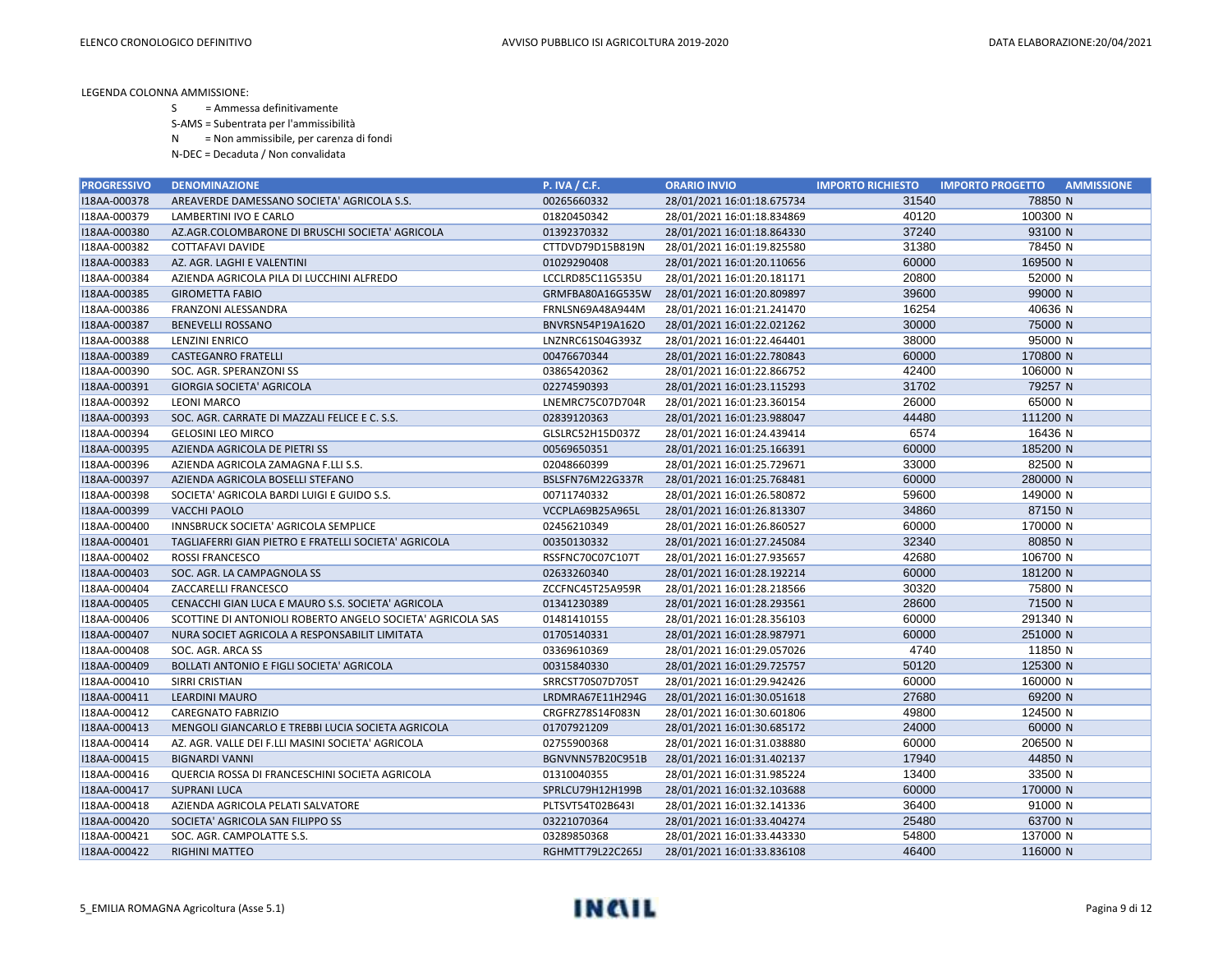S = Ammessa definitivamente

S-AMS = Subentrata per l'ammissibilità

N = Non ammissibile, per carenza di fondi

| <b>PROGRESSIVO</b> | <b>DENOMINAZIONE</b>                                       | <b>P. IVA / C.F.</b> | <b>ORARIO INVIO</b>        | <b>IMPORTO RICHIESTO</b> | <b>IMPORTO PROGETTO</b><br><b>AMMISSIONE</b> |
|--------------------|------------------------------------------------------------|----------------------|----------------------------|--------------------------|----------------------------------------------|
| I18AA-000378       | AREAVERDE DAMESSANO SOCIETA' AGRICOLA S.S.                 | 00265660332          | 28/01/2021 16:01:18.675734 | 31540                    | 78850 N                                      |
| I18AA-000379       | LAMBERTINI IVO E CARLO                                     | 01820450342          | 28/01/2021 16:01:18.834869 | 40120                    | 100300 N                                     |
| I18AA-000380       | AZ.AGR.COLOMBARONE DI BRUSCHI SOCIETA' AGRICOLA            | 01392370332          | 28/01/2021 16:01:18.864330 | 37240                    | 93100 N                                      |
| I18AA-000382       | <b>COTTAFAVI DAVIDE</b>                                    | CTTDVD79D15B819N     | 28/01/2021 16:01:19.825580 | 31380                    | 78450 N                                      |
| I18AA-000383       | AZ. AGR. LAGHI E VALENTINI                                 | 01029290408          | 28/01/2021 16:01:20.110656 | 60000                    | 169500 N                                     |
| I18AA-000384       | AZIENDA AGRICOLA PILA DI LUCCHINI ALFREDO                  | LCCLRD85C11G535U     | 28/01/2021 16:01:20.181171 | 20800                    | 52000 N                                      |
| I18AA-000385       | <b>GIROMETTA FABIO</b>                                     | GRMFBA80A16G535W     | 28/01/2021 16:01:20.809897 | 39600                    | 99000 N                                      |
| I18AA-000386       | FRANZONI ALESSANDRA                                        | FRNLSN69A48A944M     | 28/01/2021 16:01:21.241470 | 16254                    | 40636 N                                      |
| I18AA-000387       | <b>BENEVELLI ROSSANO</b>                                   | BNVRSN54P19A162O     | 28/01/2021 16:01:22.021262 | 30000                    | 75000 N                                      |
| I18AA-000388       | LENZINI ENRICO                                             | LNZNRC61S04G393Z     | 28/01/2021 16:01:22.464401 | 38000                    | 95000 N                                      |
| I18AA-000389       | <b>CASTEGANRO FRATELLI</b>                                 | 00476670344          | 28/01/2021 16:01:22.780843 | 60000                    | 170800 N                                     |
| I18AA-000390       | SOC. AGR. SPERANZONI SS                                    | 03865420362          | 28/01/2021 16:01:22.866752 | 42400                    | 106000 N                                     |
| I18AA-000391       | <b>GIORGIA SOCIETA' AGRICOLA</b>                           | 02274590393          | 28/01/2021 16:01:23.115293 | 31702                    | 79257 N                                      |
| I18AA-000392       | <b>LEONI MARCO</b>                                         | LNEMRC75C07D704R     | 28/01/2021 16:01:23.360154 | 26000                    | 65000 N                                      |
| I18AA-000393       | SOC. AGR. CARRATE DI MAZZALI FELICE E C. S.S.              | 02839120363          | 28/01/2021 16:01:23.988047 | 44480                    | 111200 N                                     |
| I18AA-000394       | <b>GELOSINI LEO MIRCO</b>                                  | GLSLRC52H15D037Z     | 28/01/2021 16:01:24.439414 | 6574                     | 16436 N                                      |
| I18AA-000395       | AZIENDA AGRICOLA DE PIETRI SS                              | 00569650351          | 28/01/2021 16:01:25.166391 | 60000                    | 185200 N                                     |
| I18AA-000396       | AZIENDA AGRICOLA ZAMAGNA F.LLI S.S.                        | 02048660399          | 28/01/2021 16:01:25.729671 | 33000                    | 82500 N                                      |
| I18AA-000397       | AZIENDA AGRICOLA BOSELLI STEFANO                           | BSLSFN76M22G337R     | 28/01/2021 16:01:25.768481 | 60000                    | 280000 N                                     |
| I18AA-000398       | SOCIETA' AGRICOLA BARDI LUIGI E GUIDO S.S.                 | 00711740332          | 28/01/2021 16:01:26.580872 | 59600                    | 149000 N                                     |
| I18AA-000399       | <b>VACCHI PAOLO</b>                                        | VCCPLA69B25A965L     | 28/01/2021 16:01:26.813307 | 34860                    | 87150 N                                      |
| I18AA-000400       | INNSBRUCK SOCIETA' AGRICOLA SEMPLICE                       | 02456210349          | 28/01/2021 16:01:26.860527 | 60000                    | 170000 N                                     |
| I18AA-000401       | TAGLIAFERRI GIAN PIETRO E FRATELLI SOCIETA' AGRICOLA       | 00350130332          | 28/01/2021 16:01:27.245084 | 32340                    | 80850 N                                      |
| I18AA-000402       | <b>ROSSI FRANCESCO</b>                                     | RSSFNC70C07C107T     | 28/01/2021 16:01:27.935657 | 42680                    | 106700 N                                     |
| I18AA-000403       | SOC. AGR. LA CAMPAGNOLA SS                                 | 02633260340          | 28/01/2021 16:01:28.192214 | 60000                    | 181200 N                                     |
| I18AA-000404       | ZACCARELLI FRANCESCO                                       | ZCCFNC45T25A959R     | 28/01/2021 16:01:28.218566 | 30320                    | 75800 N                                      |
| I18AA-000405       | CENACCHI GIAN LUCA E MAURO S.S. SOCIETA' AGRICOLA          | 01341230389          | 28/01/2021 16:01:28.293561 | 28600                    | 71500 N                                      |
| I18AA-000406       | SCOTTINE DI ANTONIOLI ROBERTO ANGELO SOCIETA' AGRICOLA SAS | 01481410155          | 28/01/2021 16:01:28.356103 | 60000                    | 291340 N                                     |
| I18AA-000407       | NURA SOCIET AGRICOLA A RESPONSABILIT LIMITATA              | 01705140331          | 28/01/2021 16:01:28.987971 | 60000                    | 251000 N                                     |
| I18AA-000408       | SOC. AGR. ARCA SS                                          | 03369610369          | 28/01/2021 16:01:29.057026 | 4740                     | 11850 N                                      |
| I18AA-000409       | <b>BOLLATI ANTONIO E FIGLI SOCIETA' AGRICOLA</b>           | 00315840330          | 28/01/2021 16:01:29.725757 | 50120                    | 125300 N                                     |
| I18AA-000410       | SIRRI CRISTIAN                                             | SRRCST70S07D705T     | 28/01/2021 16:01:29.942426 | 60000                    | 160000 N                                     |
| I18AA-000411       | <b>LEARDINI MAURO</b>                                      | LRDMRA67E11H294G     | 28/01/2021 16:01:30.051618 | 27680                    | 69200 N                                      |
| I18AA-000412       | <b>CAREGNATO FABRIZIO</b>                                  | CRGFRZ78S14F083N     | 28/01/2021 16:01:30.601806 | 49800                    | 124500 N                                     |
| I18AA-000413       | MENGOLI GIANCARLO E TREBBI LUCIA SOCIETA AGRICOLA          | 01707921209          | 28/01/2021 16:01:30.685172 | 24000                    | 60000 N                                      |
| I18AA-000414       | AZ. AGR. VALLE DEI F.LLI MASINI SOCIETA' AGRICOLA          | 02755900368          | 28/01/2021 16:01:31.038880 | 60000                    | 206500 N                                     |
| I18AA-000415       | <b>BIGNARDI VANNI</b>                                      | BGNVNN57B20C951B     | 28/01/2021 16:01:31.402137 | 17940                    | 44850 N                                      |
| I18AA-000416       | QUERCIA ROSSA DI FRANCESCHINI SOCIETA AGRICOLA             | 01310040355          | 28/01/2021 16:01:31.985224 | 13400                    | 33500 N                                      |
| I18AA-000417       | <b>SUPRANI LUCA</b>                                        | SPRLCU79H12H199B     | 28/01/2021 16:01:32.103688 | 60000                    | 170000 N                                     |
| I18AA-000418       | AZIENDA AGRICOLA PELATI SALVATORE                          | PLTSVT54T02B643I     | 28/01/2021 16:01:32.141336 | 36400                    | 91000 N                                      |
| I18AA-000420       | SOCIETA' AGRICOLA SAN FILIPPO SS                           | 03221070364          | 28/01/2021 16:01:33.404274 | 25480                    | 63700 N                                      |
| I18AA-000421       | SOC. AGR. CAMPOLATTE S.S.                                  | 03289850368          | 28/01/2021 16:01:33.443330 | 54800                    | 137000 N                                     |
| I18AA-000422       | <b>RIGHINI MATTEO</b>                                      | RGHMTT79L22C265J     | 28/01/2021 16:01:33.836108 | 46400                    | 116000 N                                     |

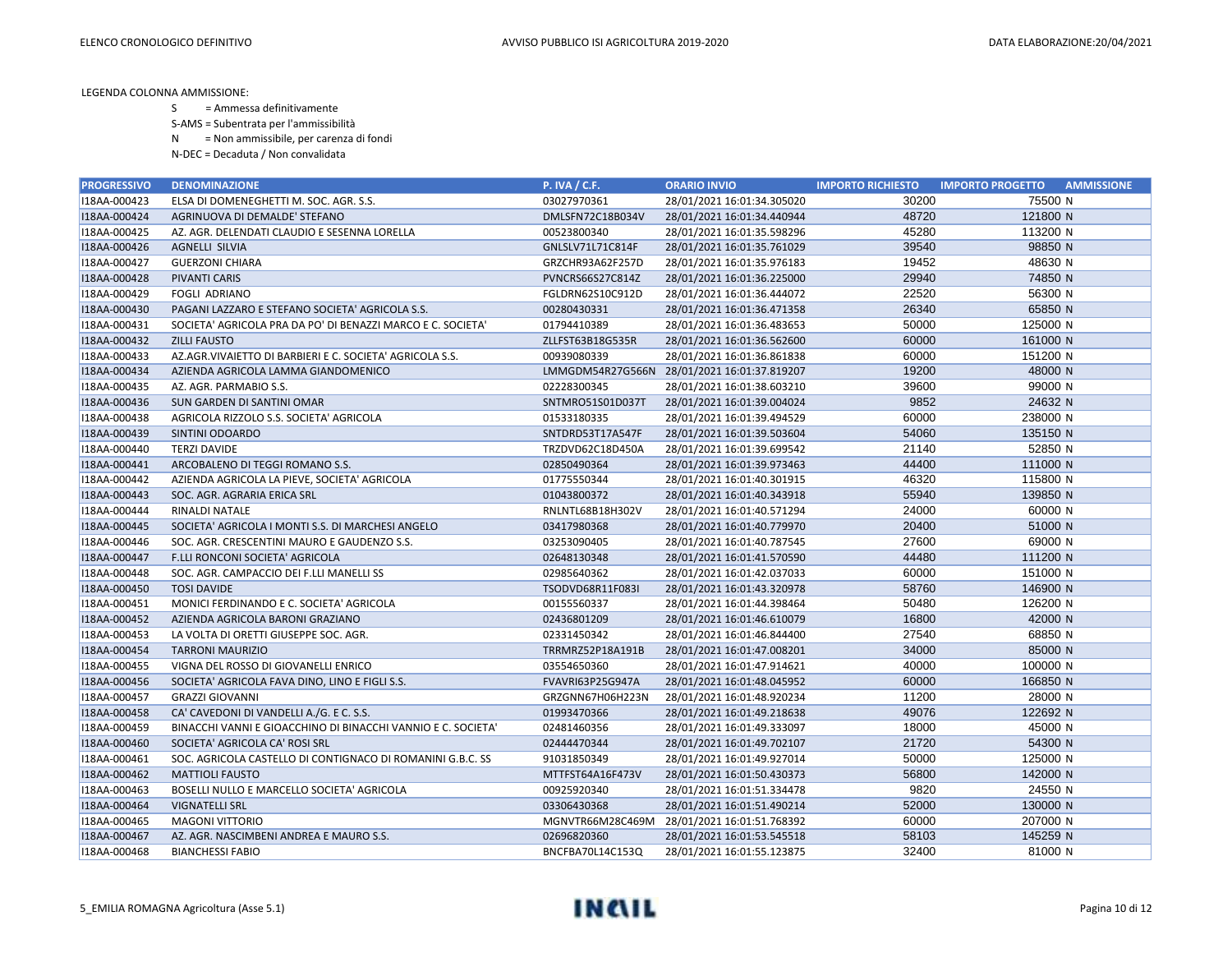S = Ammessa definitivamente

S-AMS = Subentrata per l'ammissibilità

N = Non ammissibile, per carenza di fondi

| <b>PROGRESSIVO</b> | <b>DENOMINAZIONE</b>                                         | <b>P. IVA / C.F.</b>    | <b>ORARIO INVIO</b>        | <b>IMPORTO RICHIESTO</b> | <b>IMPORTO PROGETTO</b><br><b>AMMISSIONE</b> |
|--------------------|--------------------------------------------------------------|-------------------------|----------------------------|--------------------------|----------------------------------------------|
| I18AA-000423       | ELSA DI DOMENEGHETTI M. SOC. AGR. S.S.                       | 03027970361             | 28/01/2021 16:01:34.305020 | 30200                    | 75500 N                                      |
| I18AA-000424       | AGRINUOVA DI DEMALDE' STEFANO                                | DMLSFN72C18B034V        | 28/01/2021 16:01:34.440944 | 48720                    | 121800 N                                     |
| I18AA-000425       | AZ. AGR. DELENDATI CLAUDIO E SESENNA LORELLA                 | 00523800340             | 28/01/2021 16:01:35.598296 | 45280                    | 113200 N                                     |
| I18AA-000426       | <b>AGNELLI SILVIA</b>                                        | GNLSLV71L71C814F        | 28/01/2021 16:01:35.761029 | 39540                    | 98850 N                                      |
| I18AA-000427       | <b>GUERZONI CHIARA</b>                                       | GRZCHR93A62F257D        | 28/01/2021 16:01:35.976183 | 19452                    | 48630 N                                      |
| I18AA-000428       | <b>PIVANTI CARIS</b>                                         | <b>PVNCRS66S27C814Z</b> | 28/01/2021 16:01:36.225000 | 29940                    | 74850 N                                      |
| I18AA-000429       | <b>FOGLI ADRIANO</b>                                         | FGLDRN62S10C912D        | 28/01/2021 16:01:36.444072 | 22520                    | 56300 N                                      |
| I18AA-000430       | PAGANI LAZZARO E STEFANO SOCIETA' AGRICOLA S.S.              | 00280430331             | 28/01/2021 16:01:36.471358 | 26340                    | 65850 N                                      |
| I18AA-000431       | SOCIETA' AGRICOLA PRA DA PO' DI BENAZZI MARCO E C. SOCIETA'  | 01794410389             | 28/01/2021 16:01:36.483653 | 50000                    | 125000 N                                     |
| I18AA-000432       | <b>ZILLI FAUSTO</b>                                          | ZLLFST63B18G535R        | 28/01/2021 16:01:36.562600 | 60000                    | 161000 N                                     |
| I18AA-000433       | AZ.AGR.VIVAIETTO DI BARBIERI E C. SOCIETA' AGRICOLA S.S.     | 00939080339             | 28/01/2021 16:01:36.861838 | 60000                    | 151200 N                                     |
| I18AA-000434       | AZIENDA AGRICOLA LAMMA GIANDOMENICO                          | LMMGDM54R27G566N        | 28/01/2021 16:01:37.819207 | 19200                    | 48000 N                                      |
| I18AA-000435       | AZ. AGR. PARMABIO S.S.                                       | 02228300345             | 28/01/2021 16:01:38.603210 | 39600                    | 99000 N                                      |
| I18AA-000436       | SUN GARDEN DI SANTINI OMAR                                   | SNTMRO51S01D037T        | 28/01/2021 16:01:39.004024 | 9852                     | 24632 N                                      |
| I18AA-000438       | AGRICOLA RIZZOLO S.S. SOCIETA' AGRICOLA                      | 01533180335             | 28/01/2021 16:01:39.494529 | 60000                    | 238000 N                                     |
| I18AA-000439       | SINTINI ODOARDO                                              | SNTDRD53T17A547F        | 28/01/2021 16:01:39.503604 | 54060                    | 135150 N                                     |
| I18AA-000440       | <b>TERZI DAVIDE</b>                                          | TRZDVD62C18D450A        | 28/01/2021 16:01:39.699542 | 21140                    | 52850 N                                      |
| I18AA-000441       | ARCOBALENO DI TEGGI ROMANO S.S.                              | 02850490364             | 28/01/2021 16:01:39.973463 | 44400                    | 111000 N                                     |
| I18AA-000442       | AZIENDA AGRICOLA LA PIEVE, SOCIETA' AGRICOLA                 | 01775550344             | 28/01/2021 16:01:40.301915 | 46320                    | 115800 N                                     |
| I18AA-000443       | SOC. AGR. AGRARIA ERICA SRL                                  | 01043800372             | 28/01/2021 16:01:40.343918 | 55940                    | 139850 N                                     |
| I18AA-000444       | <b>RINALDI NATALE</b>                                        | RNLNTL68B18H302V        | 28/01/2021 16:01:40.571294 | 24000                    | 60000 N                                      |
| I18AA-000445       | SOCIETA' AGRICOLA I MONTI S.S. DI MARCHESI ANGELO            | 03417980368             | 28/01/2021 16:01:40.779970 | 20400                    | 51000 N                                      |
| I18AA-000446       | SOC. AGR. CRESCENTINI MAURO E GAUDENZO S.S.                  | 03253090405             | 28/01/2021 16:01:40.787545 | 27600                    | 69000 N                                      |
| I18AA-000447       | F.LLI RONCONI SOCIETA' AGRICOLA                              | 02648130348             | 28/01/2021 16:01:41.570590 | 44480                    | 111200 N                                     |
| I18AA-000448       | SOC. AGR. CAMPACCIO DEI F.LLI MANELLI SS                     | 02985640362             | 28/01/2021 16:01:42.037033 | 60000                    | 151000 N                                     |
| I18AA-000450       | <b>TOSI DAVIDE</b>                                           | TSODVD68R11F083I        | 28/01/2021 16:01:43.320978 | 58760                    | 146900 N                                     |
| I18AA-000451       | MONICI FERDINANDO E C. SOCIETA' AGRICOLA                     | 00155560337             | 28/01/2021 16:01:44.398464 | 50480                    | 126200 N                                     |
| I18AA-000452       | AZIENDA AGRICOLA BARONI GRAZIANO                             | 02436801209             | 28/01/2021 16:01:46.610079 | 16800                    | 42000 N                                      |
| I18AA-000453       | LA VOLTA DI ORETTI GIUSEPPE SOC. AGR.                        | 02331450342             | 28/01/2021 16:01:46.844400 | 27540                    | 68850 N                                      |
| I18AA-000454       | <b>TARRONI MAURIZIO</b>                                      | TRRMRZ52P18A191B        | 28/01/2021 16:01:47.008201 | 34000                    | 85000 N                                      |
| I18AA-000455       | VIGNA DEL ROSSO DI GIOVANELLI ENRICO                         | 03554650360             | 28/01/2021 16:01:47.914621 | 40000                    | 100000 N                                     |
| I18AA-000456       | SOCIETA' AGRICOLA FAVA DINO, LINO E FIGLI S.S.               | FVAVRI63P25G947A        | 28/01/2021 16:01:48.045952 | 60000                    | 166850 N                                     |
| I18AA-000457       | <b>GRAZZI GIOVANNI</b>                                       | GRZGNN67H06H223N        | 28/01/2021 16:01:48.920234 | 11200                    | 28000 N                                      |
| I18AA-000458       | CA' CAVEDONI DI VANDELLI A./G. E C. S.S.                     | 01993470366             | 28/01/2021 16:01:49.218638 | 49076                    | 122692 N                                     |
| I18AA-000459       | BINACCHI VANNI E GIOACCHINO DI BINACCHI VANNIO E C. SOCIETA' | 02481460356             | 28/01/2021 16:01:49.333097 | 18000                    | 45000 N                                      |
| I18AA-000460       | SOCIETA' AGRICOLA CA' ROSI SRL                               | 02444470344             | 28/01/2021 16:01:49.702107 | 21720                    | 54300 N                                      |
| I18AA-000461       | SOC. AGRICOLA CASTELLO DI CONTIGNACO DI ROMANINI G.B.C. SS   | 91031850349             | 28/01/2021 16:01:49.927014 | 50000                    | 125000 N                                     |
| I18AA-000462       | <b>MATTIOLI FAUSTO</b>                                       | MTTFST64A16F473V        | 28/01/2021 16:01:50.430373 | 56800                    | 142000 N                                     |
| I18AA-000463       | BOSELLI NULLO E MARCELLO SOCIETA' AGRICOLA                   | 00925920340             | 28/01/2021 16:01:51.334478 | 9820                     | 24550 N                                      |
| I18AA-000464       | <b>VIGNATELLI SRL</b>                                        | 03306430368             | 28/01/2021 16:01:51.490214 | 52000                    | 130000 N                                     |
| I18AA-000465       | <b>MAGONI VITTORIO</b>                                       | MGNVTR66M28C469M        | 28/01/2021 16:01:51.768392 | 60000                    | 207000 N                                     |
| I18AA-000467       | AZ. AGR. NASCIMBENI ANDREA E MAURO S.S.                      | 02696820360             | 28/01/2021 16:01:53.545518 | 58103                    | 145259 N                                     |
| I18AA-000468       | <b>BIANCHESSI FABIO</b>                                      | BNCFBA70L14C153Q        | 28/01/2021 16:01:55.123875 | 32400                    | 81000 N                                      |

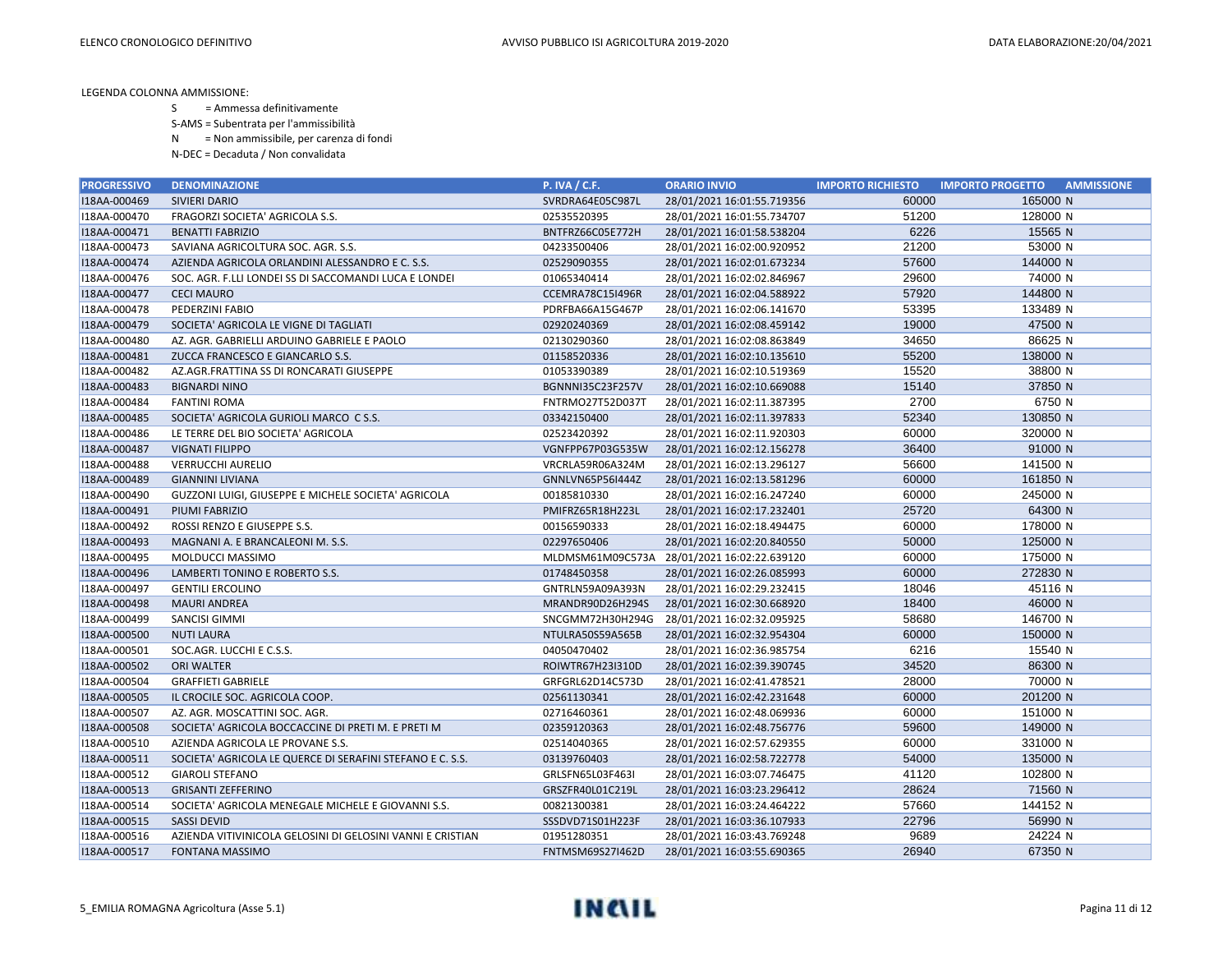- S = Ammessa definitivamente
- S-AMS = Subentrata per l'ammissibilità
- N = Non ammissibile, per carenza di fondi
- N-DEC = Decaduta / Non convalidata

| <b>PROGRESSIVO</b> | <b>DENOMINAZIONE</b>                                       | <b>P. IVA / C.F.</b> | <b>ORARIO INVIO</b>                         | <b>IMPORTO RICHIESTO</b> | <b>IMPORTO PROGETTO</b><br><b>AMMISSIONE</b> |
|--------------------|------------------------------------------------------------|----------------------|---------------------------------------------|--------------------------|----------------------------------------------|
| I18AA-000469       | <b>SIVIERI DARIO</b>                                       | SVRDRA64E05C987L     | 28/01/2021 16:01:55.719356                  | 60000                    | 165000 N                                     |
| I18AA-000470       | FRAGORZI SOCIETA' AGRICOLA S.S.                            | 02535520395          | 28/01/2021 16:01:55.734707                  | 51200                    | 128000 N                                     |
| I18AA-000471       | <b>BENATTI FABRIZIO</b>                                    | BNTFRZ66C05E772H     | 28/01/2021 16:01:58.538204                  | 6226                     | 15565 N                                      |
| I18AA-000473       | SAVIANA AGRICOLTURA SOC. AGR. S.S.                         | 04233500406          | 28/01/2021 16:02:00.920952                  | 21200                    | 53000 N                                      |
| I18AA-000474       | AZIENDA AGRICOLA ORLANDINI ALESSANDRO E C. S.S.            | 02529090355          | 28/01/2021 16:02:01.673234                  | 57600                    | 144000 N                                     |
| I18AA-000476       | SOC. AGR. F.LLI LONDEI SS DI SACCOMANDI LUCA E LONDEI      | 01065340414          | 28/01/2021 16:02:02.846967                  | 29600                    | 74000 N                                      |
| I18AA-000477       | <b>CECI MAURO</b>                                          | CCEMRA78C15I496R     | 28/01/2021 16:02:04.588922                  | 57920                    | 144800 N                                     |
| I18AA-000478       | PEDERZINI FABIO                                            | PDRFBA66A15G467P     | 28/01/2021 16:02:06.141670                  | 53395                    | 133489 N                                     |
| I18AA-000479       | SOCIETA' AGRICOLA LE VIGNE DI TAGLIATI                     | 02920240369          | 28/01/2021 16:02:08.459142                  | 19000                    | 47500 N                                      |
| I18AA-000480       | AZ. AGR. GABRIELLI ARDUINO GABRIELE E PAOLO                | 02130290360          | 28/01/2021 16:02:08.863849                  | 34650                    | 86625 N                                      |
| I18AA-000481       | ZUCCA FRANCESCO E GIANCARLO S.S.                           | 01158520336          | 28/01/2021 16:02:10.135610                  | 55200                    | 138000 N                                     |
| I18AA-000482       | AZ.AGR.FRATTINA SS DI RONCARATI GIUSEPPE                   | 01053390389          | 28/01/2021 16:02:10.519369                  | 15520                    | 38800 N                                      |
| I18AA-000483       | <b>BIGNARDI NINO</b>                                       | BGNNNI35C23F257V     | 28/01/2021 16:02:10.669088                  | 15140                    | 37850 N                                      |
| I18AA-000484       | <b>FANTINI ROMA</b>                                        | FNTRMO27T52D037T     | 28/01/2021 16:02:11.387395                  | 2700                     | 6750 N                                       |
| I18AA-000485       | SOCIETA' AGRICOLA GURIOLI MARCO C S.S.                     | 03342150400          | 28/01/2021 16:02:11.397833                  | 52340                    | 130850 N                                     |
| I18AA-000486       | LE TERRE DEL BIO SOCIETA' AGRICOLA                         | 02523420392          | 28/01/2021 16:02:11.920303                  | 60000                    | 320000 N                                     |
| I18AA-000487       | <b>VIGNATI FILIPPO</b>                                     | VGNFPP67P03G535W     | 28/01/2021 16:02:12.156278                  | 36400                    | 91000 N                                      |
| I18AA-000488       | <b>VERRUCCHI AURELIO</b>                                   | VRCRLA59R06A324M     | 28/01/2021 16:02:13.296127                  | 56600                    | 141500 N                                     |
| I18AA-000489       | <b>GIANNINI LIVIANA</b>                                    | GNNLVN65P56I444Z     | 28/01/2021 16:02:13.581296                  | 60000                    | 161850 N                                     |
| I18AA-000490       | GUZZONI LUIGI, GIUSEPPE E MICHELE SOCIETA' AGRICOLA        | 00185810330          | 28/01/2021 16:02:16.247240                  | 60000                    | 245000 N                                     |
| I18AA-000491       | PIUMI FABRIZIO                                             | PMIFRZ65R18H223L     | 28/01/2021 16:02:17.232401                  | 25720                    | 64300 N                                      |
| I18AA-000492       | ROSSI RENZO E GIUSEPPE S.S.                                | 00156590333          | 28/01/2021 16:02:18.494475                  | 60000                    | 178000 N                                     |
| I18AA-000493       | MAGNANI A. E BRANCALEONI M. S.S.                           | 02297650406          | 28/01/2021 16:02:20.840550                  | 50000                    | 125000 N                                     |
| I18AA-000495       | MOLDUCCI MASSIMO                                           |                      | MLDMSM61M09C573A 28/01/2021 16:02:22.639120 | 60000                    | 175000 N                                     |
| I18AA-000496       | LAMBERTI TONINO E ROBERTO S.S.                             | 01748450358          | 28/01/2021 16:02:26.085993                  | 60000                    | 272830 N                                     |
| I18AA-000497       | <b>GENTILI ERCOLINO</b>                                    | GNTRLN59A09A393N     | 28/01/2021 16:02:29.232415                  | 18046                    | 45116 N                                      |
| I18AA-000498       | <b>MAURI ANDREA</b>                                        | MRANDR90D26H294S     | 28/01/2021 16:02:30.668920                  | 18400                    | 46000 N                                      |
| I18AA-000499       | SANCISI GIMMI                                              | SNCGMM72H30H294G     | 28/01/2021 16:02:32.095925                  | 58680                    | 146700 N                                     |
| I18AA-000500       | <b>NUTI LAURA</b>                                          | NTULRA50S59A565B     | 28/01/2021 16:02:32.954304                  | 60000                    | 150000 N                                     |
| I18AA-000501       | SOC.AGR. LUCCHI E C.S.S.                                   | 04050470402          | 28/01/2021 16:02:36.985754                  | 6216                     | 15540 N                                      |
| I18AA-000502       | <b>ORI WALTER</b>                                          | ROIWTR67H23I310D     | 28/01/2021 16:02:39.390745                  | 34520                    | 86300 N                                      |
| I18AA-000504       | <b>GRAFFIETI GABRIELE</b>                                  | GRFGRL62D14C573D     | 28/01/2021 16:02:41.478521                  | 28000                    | 70000 N                                      |
| I18AA-000505       | IL CROCILE SOC. AGRICOLA COOP.                             | 02561130341          | 28/01/2021 16:02:42.231648                  | 60000                    | 201200 N                                     |
| I18AA-000507       | AZ. AGR. MOSCATTINI SOC. AGR.                              | 02716460361          | 28/01/2021 16:02:48.069936                  | 60000                    | 151000 N                                     |
| I18AA-000508       | SOCIETA' AGRICOLA BOCCACCINE DI PRETI M. E PRETI M         | 02359120363          | 28/01/2021 16:02:48.756776                  | 59600                    | 149000 N                                     |
| I18AA-000510       | AZIENDA AGRICOLA LE PROVANE S.S.                           | 02514040365          | 28/01/2021 16:02:57.629355                  | 60000                    | 331000 N                                     |
| I18AA-000511       | SOCIETA' AGRICOLA LE QUERCE DI SERAFINI STEFANO E C. S.S.  | 03139760403          | 28/01/2021 16:02:58.722778                  | 54000                    | 135000 N                                     |
| I18AA-000512       | <b>GIAROLI STEFANO</b>                                     | GRLSFN65L03F463I     | 28/01/2021 16:03:07.746475                  | 41120                    | 102800 N                                     |
| I18AA-000513       | <b>GRISANTI ZEFFERINO</b>                                  | GRSZFR40L01C219L     | 28/01/2021 16:03:23.296412                  | 28624                    | 71560 N                                      |
| I18AA-000514       | SOCIETA' AGRICOLA MENEGALE MICHELE E GIOVANNI S.S.         | 00821300381          | 28/01/2021 16:03:24.464222                  | 57660                    | 144152 N                                     |
| I18AA-000515       | <b>SASSI DEVID</b>                                         | SSSDVD71S01H223F     | 28/01/2021 16:03:36.107933                  | 22796                    | 56990 N                                      |
| I18AA-000516       | AZIENDA VITIVINICOLA GELOSINI DI GELOSINI VANNI E CRISTIAN | 01951280351          | 28/01/2021 16:03:43.769248                  | 9689                     | 24224 N                                      |
| I18AA-000517       | <b>FONTANA MASSIMO</b>                                     | FNTMSM69S27I462D     | 28/01/2021 16:03:55.690365                  | 26940                    | 67350 N                                      |